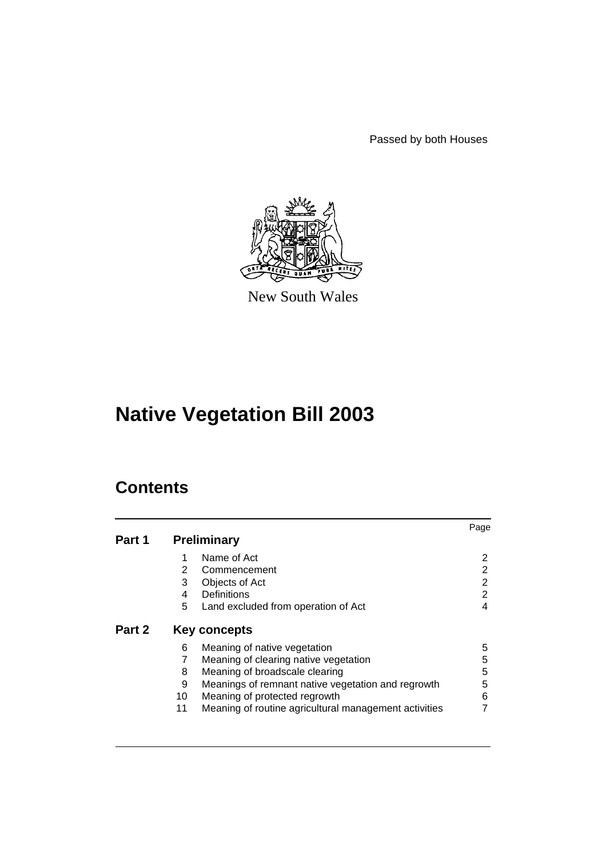Passed by both Houses



New South Wales

# **Native Vegetation Bill 2003**

## **Contents**

|        |                                                                                                                                                                                                                                                                                    | Page                  |  |  |
|--------|------------------------------------------------------------------------------------------------------------------------------------------------------------------------------------------------------------------------------------------------------------------------------------|-----------------------|--|--|
| Part 1 | <b>Preliminary</b>                                                                                                                                                                                                                                                                 |                       |  |  |
|        | Name of Act<br>2<br>Commencement                                                                                                                                                                                                                                                   | 2<br>2                |  |  |
|        | 3<br>Objects of Act                                                                                                                                                                                                                                                                | 2                     |  |  |
|        | Definitions<br>4<br>5<br>Land excluded from operation of Act                                                                                                                                                                                                                       | 2<br>4                |  |  |
| Part 2 | Key concepts                                                                                                                                                                                                                                                                       |                       |  |  |
|        | Meaning of native vegetation<br>6<br>Meaning of clearing native vegetation<br>Meaning of broadscale clearing<br>8<br>Meanings of remnant native vegetation and regrowth<br>9<br>10<br>Meaning of protected regrowth<br>Meaning of routine agricultural management activities<br>11 | 5<br>5<br>5<br>5<br>6 |  |  |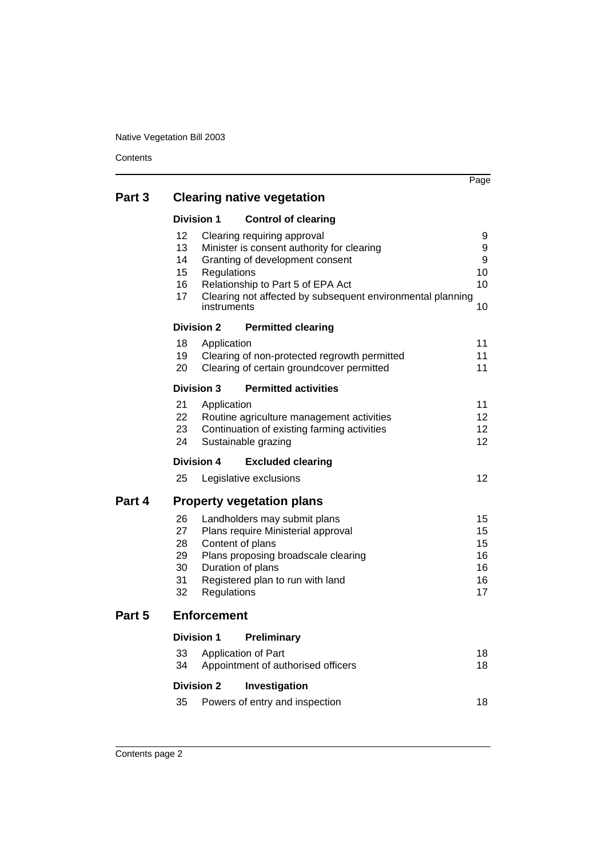**Contents** 

|        |                                                                |                                                                                                                                                                                                                 | Page                                               |  |  |
|--------|----------------------------------------------------------------|-----------------------------------------------------------------------------------------------------------------------------------------------------------------------------------------------------------------|----------------------------------------------------|--|--|
| Part 3 | <b>Clearing native vegetation</b>                              |                                                                                                                                                                                                                 |                                                    |  |  |
|        | <b>Division 1</b>                                              | <b>Control of clearing</b>                                                                                                                                                                                      |                                                    |  |  |
|        | 12<br>13<br>14<br>15<br>Regulations<br>16<br>17<br>instruments | Clearing requiring approval<br>Minister is consent authority for clearing<br>Granting of development consent<br>Relationship to Part 5 of EPA Act<br>Clearing not affected by subsequent environmental planning | 9<br>9<br>9<br>10<br>10<br>10                      |  |  |
|        | <b>Division 2</b>                                              | <b>Permitted clearing</b>                                                                                                                                                                                       |                                                    |  |  |
|        | 18<br>Application<br>19<br>20                                  | Clearing of non-protected regrowth permitted<br>Clearing of certain groundcover permitted                                                                                                                       | 11<br>11<br>11                                     |  |  |
|        | <b>Division 3</b>                                              | <b>Permitted activities</b>                                                                                                                                                                                     |                                                    |  |  |
|        | 21<br>Application<br>22<br>23<br>24                            | Routine agriculture management activities<br>Continuation of existing farming activities<br>Sustainable grazing                                                                                                 | 11<br>$12 \overline{ }$<br>$12 \overline{ }$<br>12 |  |  |
|        | <b>Division 4</b>                                              | <b>Excluded clearing</b>                                                                                                                                                                                        |                                                    |  |  |
|        | 25                                                             | Legislative exclusions                                                                                                                                                                                          | 12                                                 |  |  |
| Part 4 | <b>Property vegetation plans</b>                               |                                                                                                                                                                                                                 |                                                    |  |  |
|        | 26<br>27<br>28<br>29<br>30<br>31<br>32<br>Regulations          | Landholders may submit plans<br>Plans require Ministerial approval<br>Content of plans<br>Plans proposing broadscale clearing<br>Duration of plans<br>Registered plan to run with land                          | 15<br>15<br>15<br>16<br>16<br>16<br>17             |  |  |
| Part 5 | <b>Enforcement</b>                                             |                                                                                                                                                                                                                 |                                                    |  |  |
|        | <b>Division 1</b>                                              | Preliminary                                                                                                                                                                                                     |                                                    |  |  |
|        | 33<br>34                                                       | Application of Part<br>Appointment of authorised officers                                                                                                                                                       | 18<br>18                                           |  |  |
|        | <b>Division 2</b>                                              | Investigation                                                                                                                                                                                                   |                                                    |  |  |
|        | 35                                                             | Powers of entry and inspection                                                                                                                                                                                  | 18                                                 |  |  |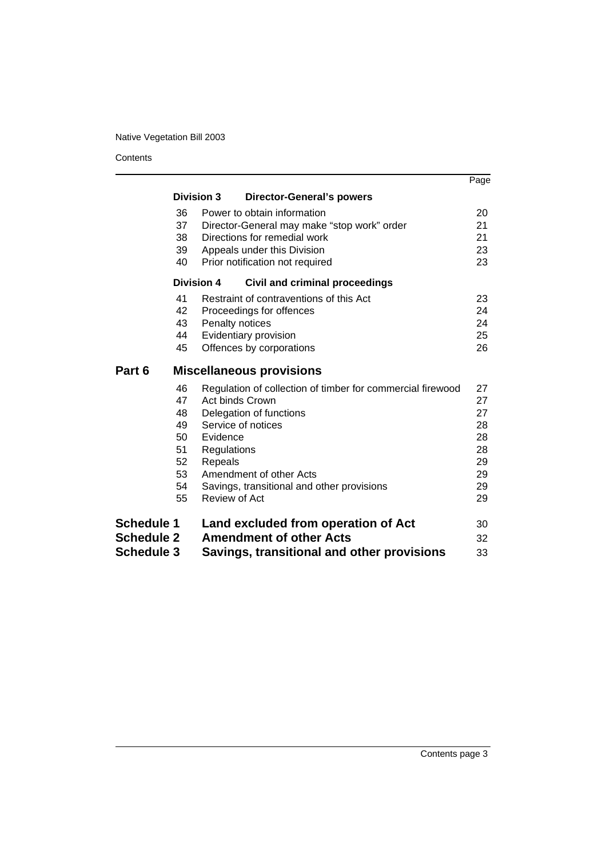**Contents** 

|                   |                          |                                                            | Page     |  |
|-------------------|--------------------------|------------------------------------------------------------|----------|--|
|                   | <b>Division 3</b>        | <b>Director-General's powers</b>                           |          |  |
|                   | 36                       | Power to obtain information                                | 20       |  |
|                   | 37                       | Director-General may make "stop work" order                | 21       |  |
|                   | 38                       | Directions for remedial work                               |          |  |
|                   | 39                       | Appeals under this Division                                |          |  |
|                   | 40                       | Prior notification not required                            | 23       |  |
|                   | <b>Division 4</b>        | <b>Civil and criminal proceedings</b>                      |          |  |
|                   | 41                       | Restraint of contraventions of this Act                    | 23       |  |
|                   | 42                       | Proceedings for offences                                   | 24       |  |
|                   | 43<br>Penalty notices    |                                                            | 24       |  |
|                   | 44                       | Evidentiary provision                                      | 25       |  |
|                   | 45                       | Offences by corporations                                   | 26       |  |
| Part 6            |                          | <b>Miscellaneous provisions</b>                            |          |  |
|                   | 46                       | Regulation of collection of timber for commercial firewood | 27       |  |
|                   | 47<br>Act binds Crown    |                                                            | 27       |  |
|                   | 48                       | Delegation of functions                                    | 27       |  |
|                   | 49<br>Service of notices |                                                            | 28       |  |
|                   | 50<br>Evidence           |                                                            | 28       |  |
|                   | 51<br>Regulations        |                                                            | 28       |  |
|                   | 52<br>Repeals            |                                                            | 29       |  |
|                   | 53<br>54                 | Amendment of other Acts                                    | 29<br>29 |  |
|                   | 55<br>Review of Act      | Savings, transitional and other provisions                 | 29       |  |
|                   |                          |                                                            |          |  |
| <b>Schedule 1</b> |                          | Land excluded from operation of Act                        | 30       |  |
| <b>Schedule 2</b> |                          | <b>Amendment of other Acts</b>                             | 32       |  |
| <b>Schedule 3</b> |                          | Savings, transitional and other provisions                 | 33       |  |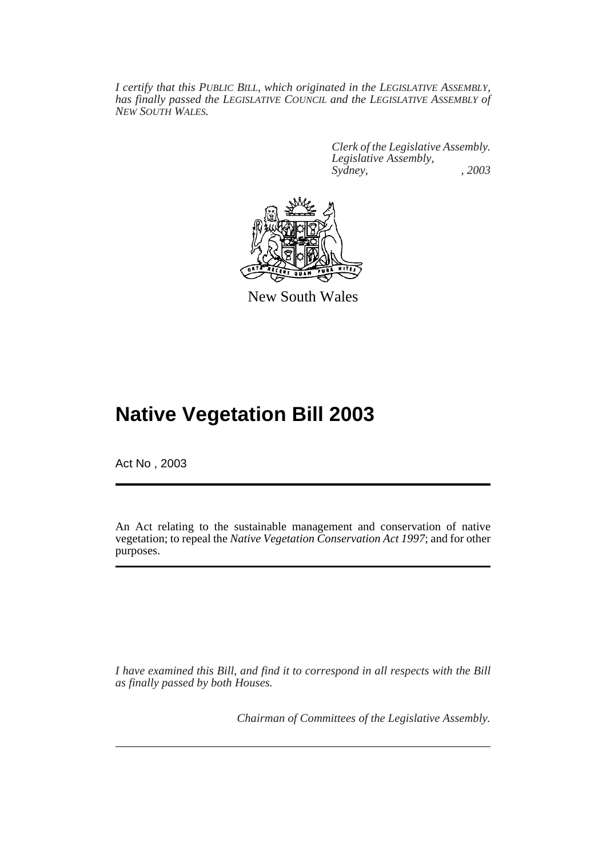*I certify that this PUBLIC BILL, which originated in the LEGISLATIVE ASSEMBLY, has finally passed the LEGISLATIVE COUNCIL and the LEGISLATIVE ASSEMBLY of NEW SOUTH WALES.*

> *Clerk of the Legislative Assembly. Legislative Assembly, Sydney, , 2003*



New South Wales

## **Native Vegetation Bill 2003**

Act No , 2003

An Act relating to the sustainable management and conservation of native vegetation; to repeal the *Native Vegetation Conservation Act 1997*; and for other purposes.

*I have examined this Bill, and find it to correspond in all respects with the Bill as finally passed by both Houses.*

*Chairman of Committees of the Legislative Assembly.*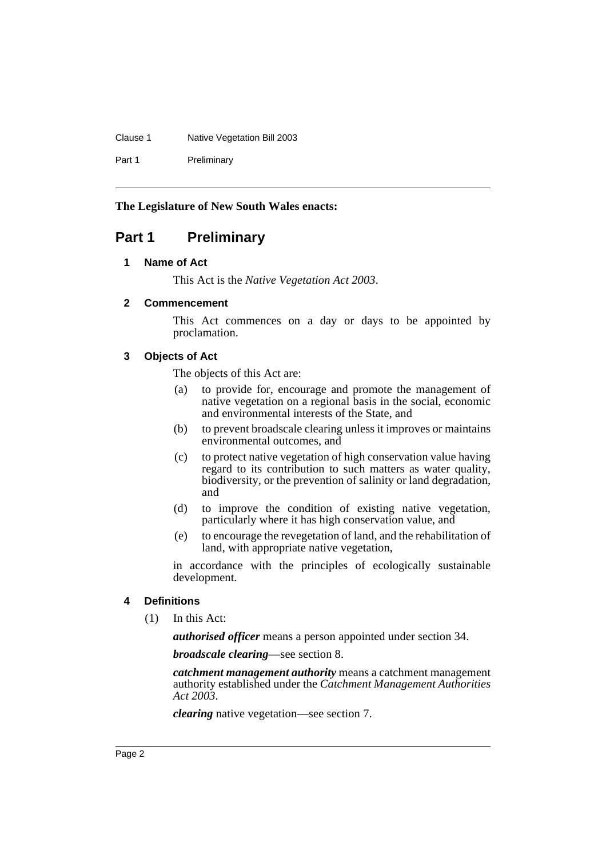#### Clause 1 Native Vegetation Bill 2003

Part 1 Preliminary

### **The Legislature of New South Wales enacts:**

### <span id="page-4-1"></span><span id="page-4-0"></span>**Part 1 Preliminary**

### **1 Name of Act**

This Act is the *Native Vegetation Act 2003*.

### <span id="page-4-2"></span>**2 Commencement**

This Act commences on a day or days to be appointed by proclamation.

### <span id="page-4-3"></span>**3 Objects of Act**

The objects of this Act are:

- (a) to provide for, encourage and promote the management of native vegetation on a regional basis in the social, economic and environmental interests of the State, and
- (b) to prevent broadscale clearing unless it improves or maintains environmental outcomes, and
- (c) to protect native vegetation of high conservation value having regard to its contribution to such matters as water quality, biodiversity, or the prevention of salinity or land degradation, and
- (d) to improve the condition of existing native vegetation, particularly where it has high conservation value, and
- (e) to encourage the revegetation of land, and the rehabilitation of land, with appropriate native vegetation,

in accordance with the principles of ecologically sustainable development.

### <span id="page-4-4"></span>**4 Definitions**

(1) In this Act:

*authorised officer* means a person appointed under section 34.

*broadscale clearing*—see section 8.

*catchment management authority* means a catchment management authority established under the *Catchment Management Authorities Act 2003*.

*clearing* native vegetation—see section 7.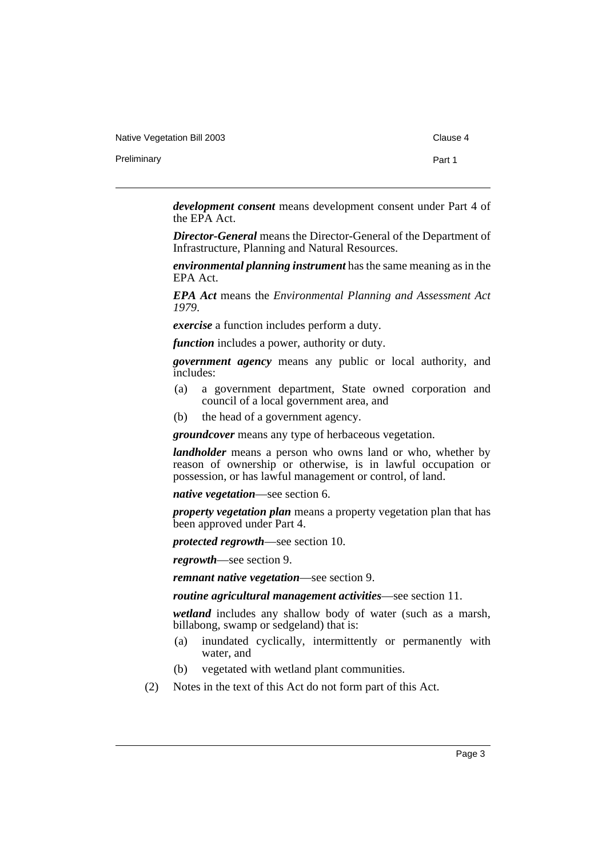Native Vegetation Bill 2003 Clause 4

Preliminary **Preliminary** Part 1

*development consent* means development consent under Part 4 of the EPA Act.

*Director-General* means the Director-General of the Department of Infrastructure, Planning and Natural Resources.

*environmental planning instrument* has the same meaning as in the EPA Act.

*EPA Act* means the *Environmental Planning and Assessment Act 1979*.

*exercise* a function includes perform a duty.

*function* includes a power, authority or duty.

*government agency* means any public or local authority, and includes:

- (a) a government department, State owned corporation and council of a local government area, and
- (b) the head of a government agency.

*groundcover* means any type of herbaceous vegetation.

*landholder* means a person who owns land or who, whether by reason of ownership or otherwise, is in lawful occupation or possession, or has lawful management or control, of land.

*native vegetation*—see section 6.

*property vegetation plan* means a property vegetation plan that has been approved under Part 4.

*protected regrowth*—see section 10.

*regrowth*—see section 9.

*remnant native vegetation*—see section 9.

*routine agricultural management activities*—see section 11.

*wetland* includes any shallow body of water (such as a marsh, billabong, swamp or sedgeland) that is:

- (a) inundated cyclically, intermittently or permanently with water, and
- (b) vegetated with wetland plant communities.
- (2) Notes in the text of this Act do not form part of this Act.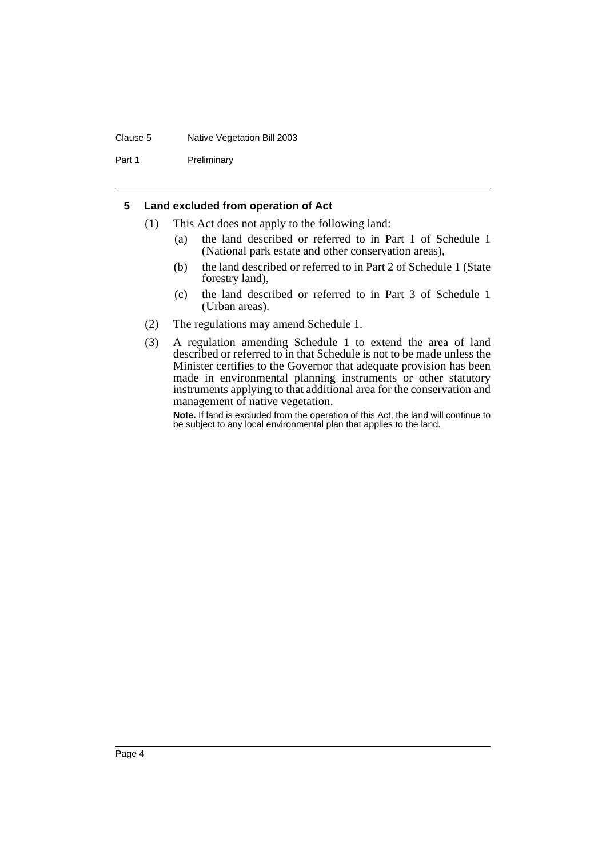#### Clause 5 Native Vegetation Bill 2003

Part 1 Preliminary

### <span id="page-6-0"></span>**5 Land excluded from operation of Act**

- (1) This Act does not apply to the following land:
	- (a) the land described or referred to in Part 1 of Schedule 1 (National park estate and other conservation areas),
	- (b) the land described or referred to in Part 2 of Schedule 1 (State forestry land),
	- (c) the land described or referred to in Part 3 of Schedule 1 (Urban areas).
- (2) The regulations may amend Schedule 1.
- (3) A regulation amending Schedule 1 to extend the area of land described or referred to in that Schedule is not to be made unless the Minister certifies to the Governor that adequate provision has been made in environmental planning instruments or other statutory instruments applying to that additional area for the conservation and management of native vegetation.

**Note.** If land is excluded from the operation of this Act, the land will continue to be subject to any local environmental plan that applies to the land.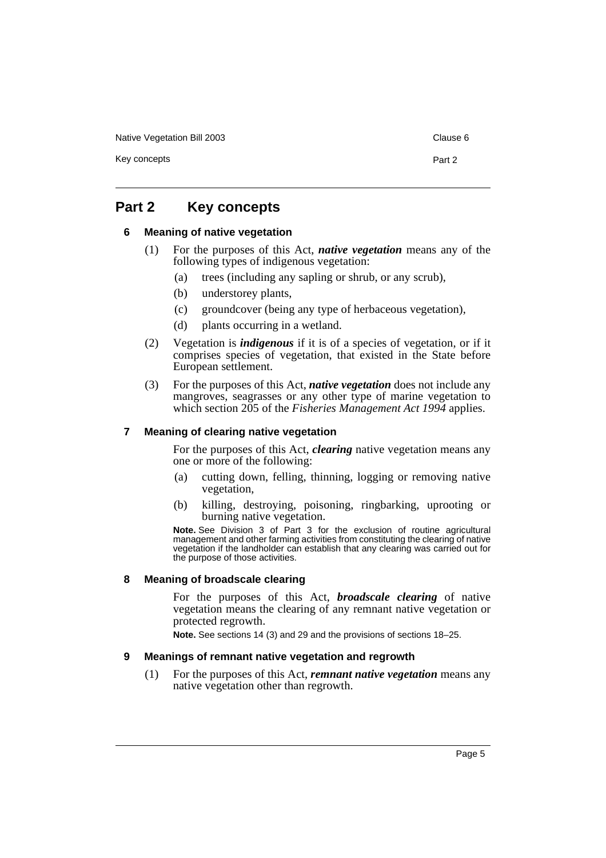Native Vegetation Bill 2003 Clause 6

Key concepts **Part 2** 

### <span id="page-7-1"></span><span id="page-7-0"></span>**Part 2 Key concepts**

### **6 Meaning of native vegetation**

- (1) For the purposes of this Act, *native vegetation* means any of the following types of indigenous vegetation:
	- (a) trees (including any sapling or shrub, or any scrub),
	- (b) understorey plants,
	- (c) groundcover (being any type of herbaceous vegetation),
	- (d) plants occurring in a wetland.
- (2) Vegetation is *indigenous* if it is of a species of vegetation, or if it comprises species of vegetation, that existed in the State before European settlement.
- (3) For the purposes of this Act, *native vegetation* does not include any mangroves, seagrasses or any other type of marine vegetation to which section 205 of the *Fisheries Management Act 1994* applies.

### <span id="page-7-2"></span>**7 Meaning of clearing native vegetation**

For the purposes of this Act, *clearing* native vegetation means any one or more of the following:

- (a) cutting down, felling, thinning, logging or removing native vegetation,
- (b) killing, destroying, poisoning, ringbarking, uprooting or burning native vegetation.

**Note.** See Division 3 of Part 3 for the exclusion of routine agricultural management and other farming activities from constituting the clearing of native vegetation if the landholder can establish that any clearing was carried out for the purpose of those activities.

### <span id="page-7-3"></span>**8 Meaning of broadscale clearing**

For the purposes of this Act, *broadscale clearing* of native vegetation means the clearing of any remnant native vegetation or protected regrowth.

**Note.** See sections 14 (3) and 29 and the provisions of sections 18–25.

### <span id="page-7-4"></span>**9 Meanings of remnant native vegetation and regrowth**

(1) For the purposes of this Act, *remnant native vegetation* means any native vegetation other than regrowth.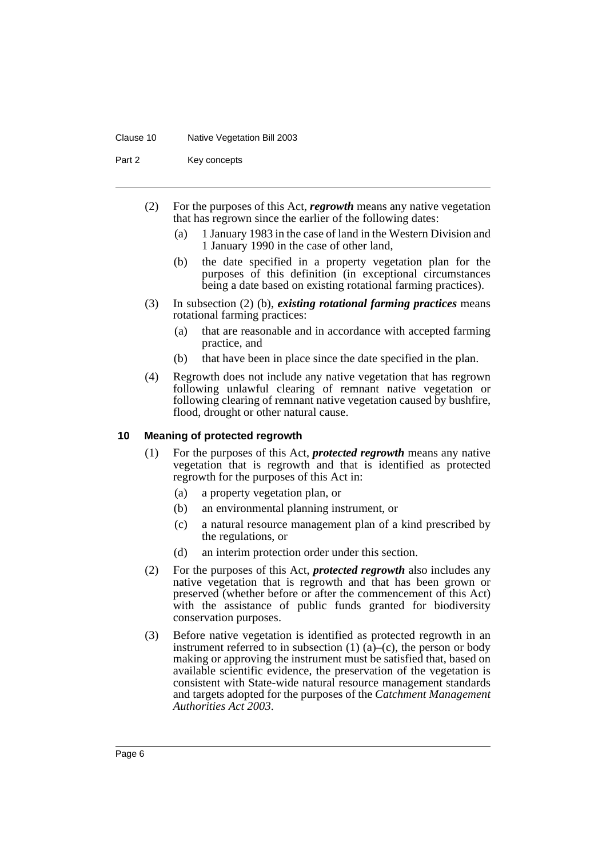#### Clause 10 Native Vegetation Bill 2003

Part 2 Key concepts

- (2) For the purposes of this Act, *regrowth* means any native vegetation that has regrown since the earlier of the following dates:
	- (a) 1 January 1983 in the case of land in the Western Division and 1 January 1990 in the case of other land,
	- (b) the date specified in a property vegetation plan for the purposes of this definition (in exceptional circumstances being a date based on existing rotational farming practices).
- (3) In subsection (2) (b), *existing rotational farming practices* means rotational farming practices:
	- (a) that are reasonable and in accordance with accepted farming practice, and
	- (b) that have been in place since the date specified in the plan.
- (4) Regrowth does not include any native vegetation that has regrown following unlawful clearing of remnant native vegetation or following clearing of remnant native vegetation caused by bushfire, flood, drought or other natural cause.

#### <span id="page-8-0"></span>**10 Meaning of protected regrowth**

- (1) For the purposes of this Act, *protected regrowth* means any native vegetation that is regrowth and that is identified as protected regrowth for the purposes of this Act in:
	- (a) a property vegetation plan, or
	- (b) an environmental planning instrument, or
	- (c) a natural resource management plan of a kind prescribed by the regulations, or
	- (d) an interim protection order under this section.
- (2) For the purposes of this Act, *protected regrowth* also includes any native vegetation that is regrowth and that has been grown or preserved (whether before or after the commencement of this Act) with the assistance of public funds granted for biodiversity conservation purposes.
- (3) Before native vegetation is identified as protected regrowth in an instrument referred to in subsection  $(1)$   $(a)$ – $(c)$ , the person or body making or approving the instrument must be satisfied that, based on available scientific evidence, the preservation of the vegetation is consistent with State-wide natural resource management standards and targets adopted for the purposes of the *Catchment Management Authorities Act 2003*.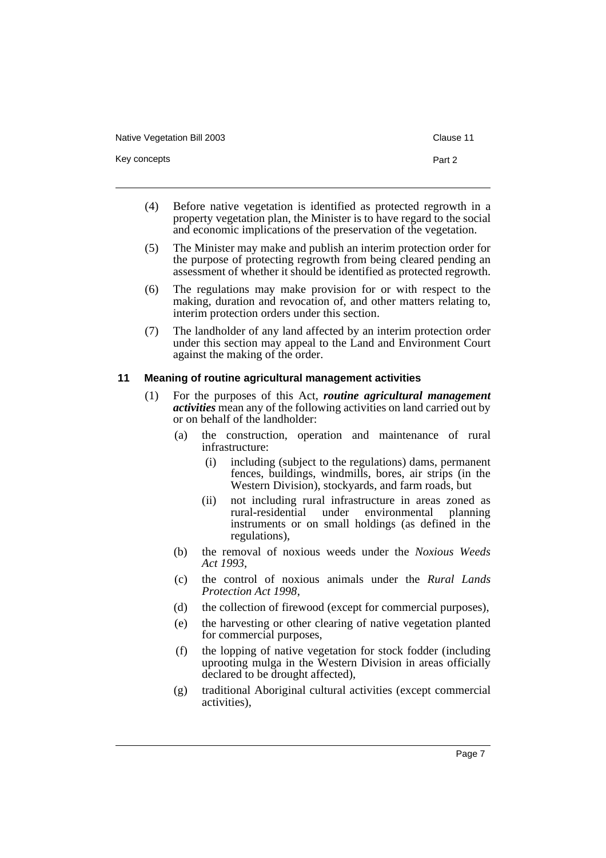Native Vegetation Bill 2003 Clause 11

Key concepts **Part 2** 

- 
- (4) Before native vegetation is identified as protected regrowth in a property vegetation plan, the Minister is to have regard to the social and economic implications of the preservation of the vegetation.
- (5) The Minister may make and publish an interim protection order for the purpose of protecting regrowth from being cleared pending an assessment of whether it should be identified as protected regrowth.
- (6) The regulations may make provision for or with respect to the making, duration and revocation of, and other matters relating to, interim protection orders under this section.
- (7) The landholder of any land affected by an interim protection order under this section may appeal to the Land and Environment Court against the making of the order.

### <span id="page-9-0"></span>**11 Meaning of routine agricultural management activities**

- (1) For the purposes of this Act, *routine agricultural management activities* mean any of the following activities on land carried out by or on behalf of the landholder:
	- (a) the construction, operation and maintenance of rural infrastructure:
		- (i) including (subject to the regulations) dams, permanent fences, buildings, windmills, bores, air strips (in the Western Division), stockyards, and farm roads, but
		- (ii) not including rural infrastructure in areas zoned as rural-residential under environmental planning environmental instruments or on small holdings (as defined in the regulations),
	- (b) the removal of noxious weeds under the *Noxious Weeds Act 1993*,
	- (c) the control of noxious animals under the *Rural Lands Protection Act 1998*,
	- (d) the collection of firewood (except for commercial purposes),
	- (e) the harvesting or other clearing of native vegetation planted for commercial purposes,
	- (f) the lopping of native vegetation for stock fodder (including uprooting mulga in the Western Division in areas officially declared to be drought affected),
	- (g) traditional Aboriginal cultural activities (except commercial activities),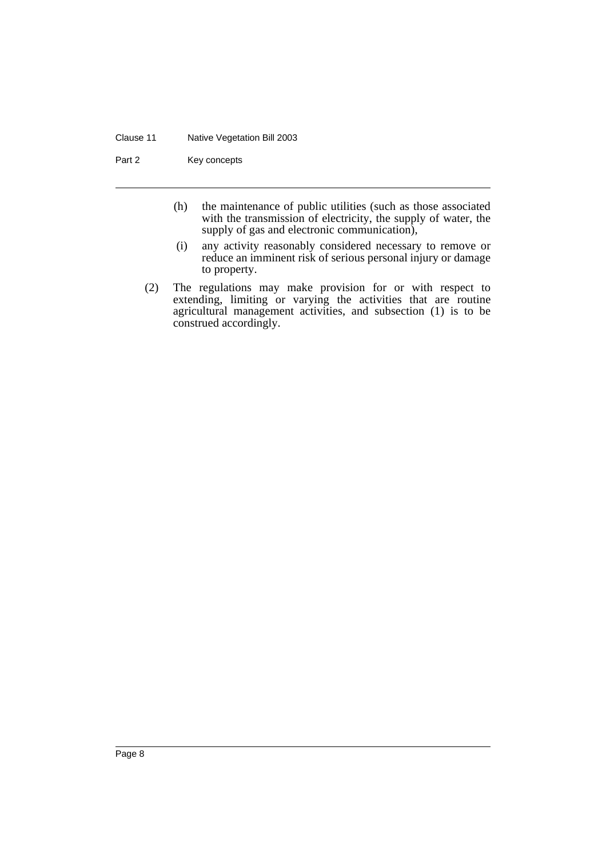#### Clause 11 Native Vegetation Bill 2003

Part 2 Key concepts

- (h) the maintenance of public utilities (such as those associated with the transmission of electricity, the supply of water, the supply of gas and electronic communication),
- (i) any activity reasonably considered necessary to remove or reduce an imminent risk of serious personal injury or damage to property.
- (2) The regulations may make provision for or with respect to extending, limiting or varying the activities that are routine agricultural management activities, and subsection (1) is to be construed accordingly.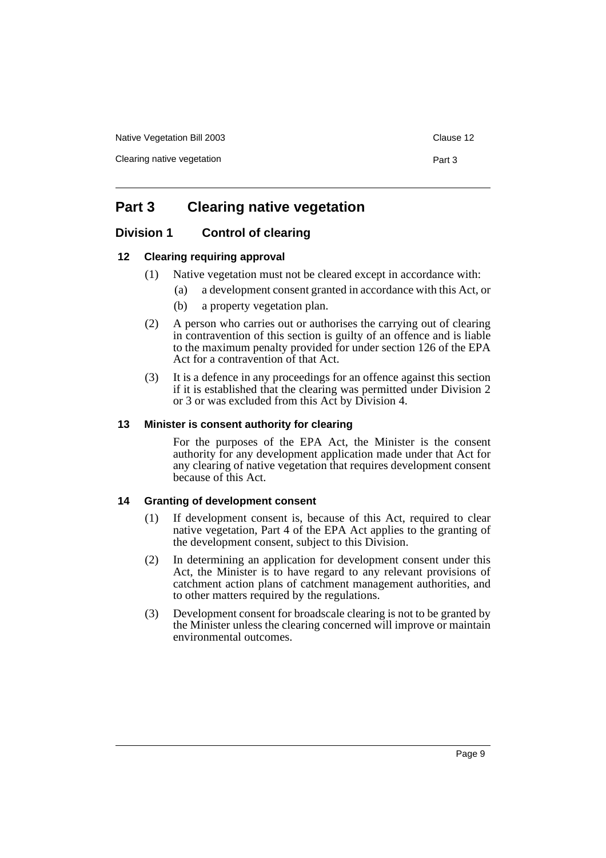Native Vegetation Bill 2003 **Clause 12** Clause 12

Clearing native vegetation example of the part 3

## <span id="page-11-0"></span>**Part 3 Clearing native vegetation**

### <span id="page-11-1"></span>**Division 1 Control of clearing**

### <span id="page-11-2"></span>**12 Clearing requiring approval**

- (1) Native vegetation must not be cleared except in accordance with:
	- (a) a development consent granted in accordance with this Act, or
	- (b) a property vegetation plan.
- (2) A person who carries out or authorises the carrying out of clearing in contravention of this section is guilty of an offence and is liable to the maximum penalty provided for under section 126 of the EPA Act for a contravention of that Act.
- (3) It is a defence in any proceedings for an offence against this section if it is established that the clearing was permitted under Division 2 or 3 or was excluded from this Act by Division 4.

### <span id="page-11-3"></span>**13 Minister is consent authority for clearing**

For the purposes of the EPA Act, the Minister is the consent authority for any development application made under that Act for any clearing of native vegetation that requires development consent because of this Act.

### <span id="page-11-4"></span>**14 Granting of development consent**

- (1) If development consent is, because of this Act, required to clear native vegetation, Part 4 of the EPA Act applies to the granting of the development consent, subject to this Division.
- (2) In determining an application for development consent under this Act, the Minister is to have regard to any relevant provisions of catchment action plans of catchment management authorities, and to other matters required by the regulations.
- (3) Development consent for broadscale clearing is not to be granted by the Minister unless the clearing concerned will improve or maintain environmental outcomes.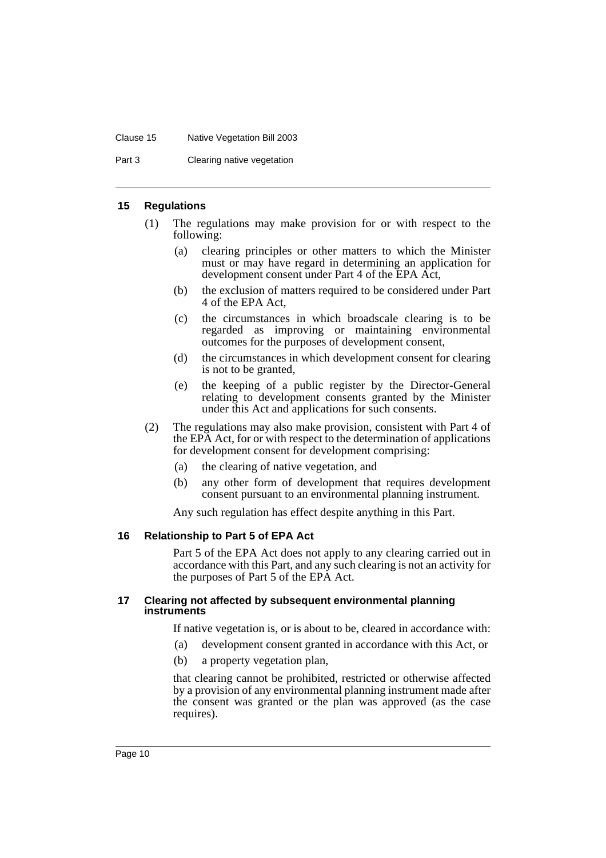#### Clause 15 Native Vegetation Bill 2003

Part 3 Clearing native vegetation

#### <span id="page-12-0"></span>**15 Regulations**

- (1) The regulations may make provision for or with respect to the following:
	- (a) clearing principles or other matters to which the Minister must or may have regard in determining an application for development consent under Part 4 of the EPA Act,
	- (b) the exclusion of matters required to be considered under Part 4 of the EPA Act,
	- (c) the circumstances in which broadscale clearing is to be regarded as improving or maintaining environmental outcomes for the purposes of development consent,
	- (d) the circumstances in which development consent for clearing is not to be granted,
	- (e) the keeping of a public register by the Director-General relating to development consents granted by the Minister under this Act and applications for such consents.
- (2) The regulations may also make provision, consistent with Part 4 of the EPA Act, for or with respect to the determination of applications for development consent for development comprising:
	- (a) the clearing of native vegetation, and
	- (b) any other form of development that requires development consent pursuant to an environmental planning instrument.

Any such regulation has effect despite anything in this Part.

### <span id="page-12-1"></span>**16 Relationship to Part 5 of EPA Act**

Part 5 of the EPA Act does not apply to any clearing carried out in accordance with this Part, and any such clearing is not an activity for the purposes of Part 5 of the EPA Act.

### <span id="page-12-2"></span>**17 Clearing not affected by subsequent environmental planning instruments**

If native vegetation is, or is about to be, cleared in accordance with:

- (a) development consent granted in accordance with this Act, or
- (b) a property vegetation plan,

that clearing cannot be prohibited, restricted or otherwise affected by a provision of any environmental planning instrument made after the consent was granted or the plan was approved (as the case requires).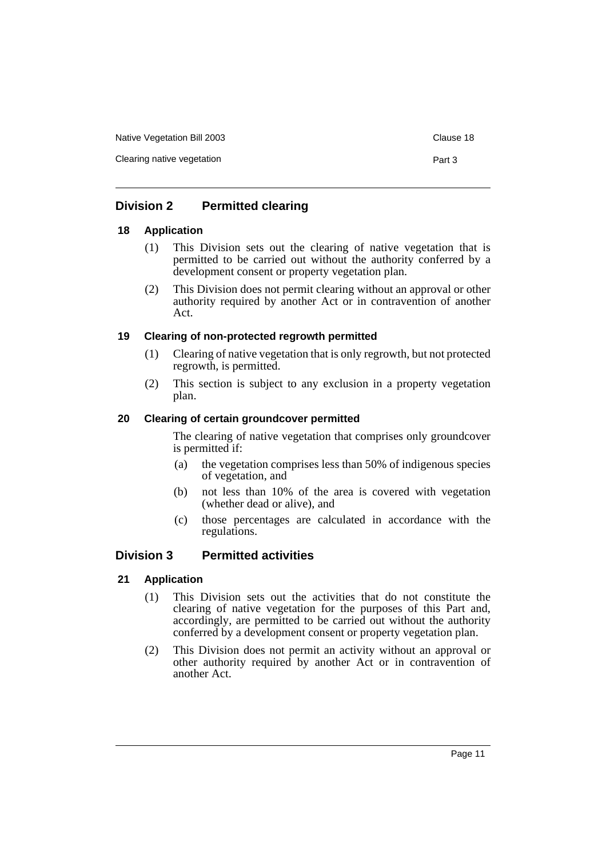Native Vegetation Bill 2003 Clause 18

Clearing native vegetation example of the part 3

### <span id="page-13-0"></span>**Division 2 Permitted clearing**

### <span id="page-13-1"></span>**18 Application**

- (1) This Division sets out the clearing of native vegetation that is permitted to be carried out without the authority conferred by a development consent or property vegetation plan.
- (2) This Division does not permit clearing without an approval or other authority required by another Act or in contravention of another Act.

### <span id="page-13-2"></span>**19 Clearing of non-protected regrowth permitted**

- (1) Clearing of native vegetation that is only regrowth, but not protected regrowth, is permitted.
- (2) This section is subject to any exclusion in a property vegetation plan.

### <span id="page-13-3"></span>**20 Clearing of certain groundcover permitted**

The clearing of native vegetation that comprises only groundcover is permitted if:

- (a) the vegetation comprises less than 50% of indigenous species of vegetation, and
- (b) not less than 10% of the area is covered with vegetation (whether dead or alive), and
- (c) those percentages are calculated in accordance with the regulations.

### <span id="page-13-4"></span>**Division 3 Permitted activities**

### <span id="page-13-5"></span>**21 Application**

- (1) This Division sets out the activities that do not constitute the clearing of native vegetation for the purposes of this Part and, accordingly, are permitted to be carried out without the authority conferred by a development consent or property vegetation plan.
- (2) This Division does not permit an activity without an approval or other authority required by another Act or in contravention of another Act.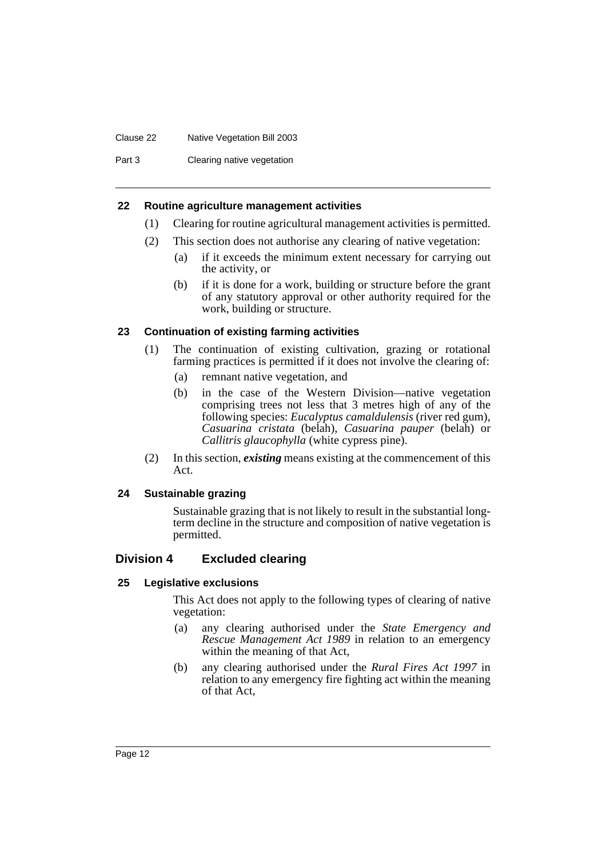#### Clause 22 Native Vegetation Bill 2003

Part 3 Clearing native vegetation

### <span id="page-14-0"></span>**22 Routine agriculture management activities**

- (1) Clearing for routine agricultural management activities is permitted.
- (2) This section does not authorise any clearing of native vegetation:
	- (a) if it exceeds the minimum extent necessary for carrying out the activity, or
	- (b) if it is done for a work, building or structure before the grant of any statutory approval or other authority required for the work, building or structure.

### <span id="page-14-1"></span>**23 Continuation of existing farming activities**

- (1) The continuation of existing cultivation, grazing or rotational farming practices is permitted if it does not involve the clearing of:
	- (a) remnant native vegetation, and
	- (b) in the case of the Western Division—native vegetation comprising trees not less that 3 metres high of any of the following species: *Eucalyptus camaldulensis* (river red gum), *Casuarina cristata* (belah), *Casuarina pauper* (belah) or *Callitris glaucophylla* (white cypress pine).
- (2) In this section, *existing* means existing at the commencement of this Act.

### <span id="page-14-2"></span>**24 Sustainable grazing**

Sustainable grazing that is not likely to result in the substantial longterm decline in the structure and composition of native vegetation is permitted.

### <span id="page-14-3"></span>**Division 4 Excluded clearing**

### <span id="page-14-4"></span>**25 Legislative exclusions**

This Act does not apply to the following types of clearing of native vegetation:

- (a) any clearing authorised under the *State Emergency and Rescue Management Act 1989* in relation to an emergency within the meaning of that Act,
- (b) any clearing authorised under the *Rural Fires Act 1997* in relation to any emergency fire fighting act within the meaning of that Act,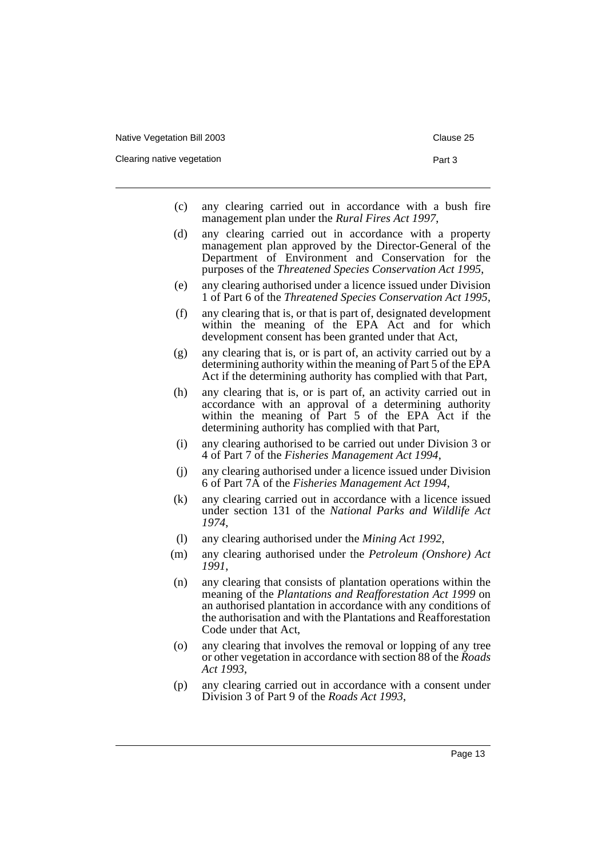- (c) any clearing carried out in accordance with a bush fire management plan under the *Rural Fires Act 1997*,
- (d) any clearing carried out in accordance with a property management plan approved by the Director-General of the Department of Environment and Conservation for the purposes of the *Threatened Species Conservation Act 1995*,
- (e) any clearing authorised under a licence issued under Division 1 of Part 6 of the *Threatened Species Conservation Act 1995*,
- (f) any clearing that is, or that is part of, designated development within the meaning of the EPA Act and for which development consent has been granted under that Act,
- (g) any clearing that is, or is part of, an activity carried out by a determining authority within the meaning of Part 5 of the EPA Act if the determining authority has complied with that Part,
- (h) any clearing that is, or is part of, an activity carried out in accordance with an approval of a determining authority within the meaning of Part 5 of the EPA Act if the determining authority has complied with that Part,
- (i) any clearing authorised to be carried out under Division 3 or 4 of Part 7 of the *Fisheries Management Act 1994*,
- (j) any clearing authorised under a licence issued under Division 6 of Part 7A of the *Fisheries Management Act 1994*,
- (k) any clearing carried out in accordance with a licence issued under section 131 of the *National Parks and Wildlife Act 1974*,
- (l) any clearing authorised under the *Mining Act 1992*,
- (m) any clearing authorised under the *Petroleum (Onshore) Act 1991*,
- (n) any clearing that consists of plantation operations within the meaning of the *Plantations and Reafforestation Act 1999* on an authorised plantation in accordance with any conditions of the authorisation and with the Plantations and Reafforestation Code under that Act,
- (o) any clearing that involves the removal or lopping of any tree or other vegetation in accordance with section 88 of the *Roads Act 1993*,
- (p) any clearing carried out in accordance with a consent under Division 3 of Part 9 of the *Roads Act 1993*,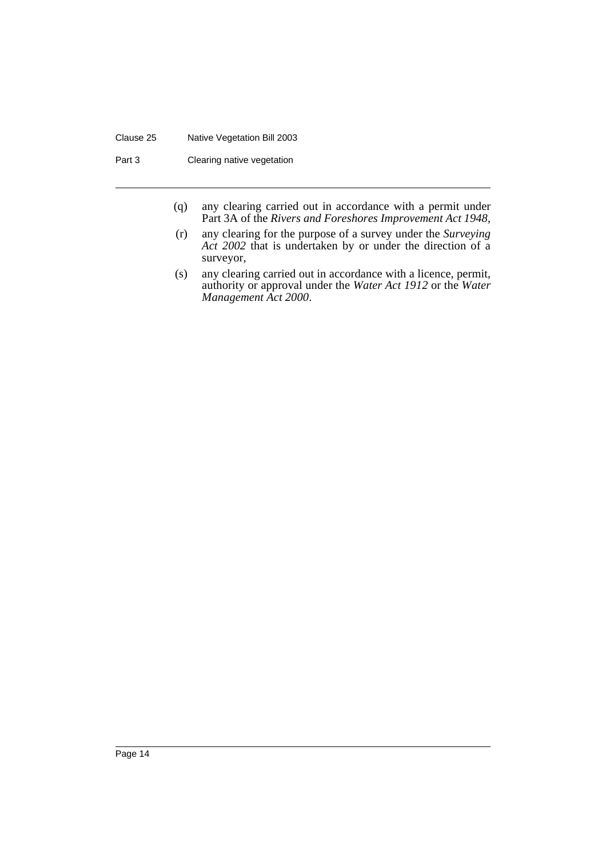#### Clause 25 Native Vegetation Bill 2003

Part 3 Clearing native vegetation

- (q) any clearing carried out in accordance with a permit under Part 3A of the *Rivers and Foreshores Improvement Act 1948*,
- (r) any clearing for the purpose of a survey under the *Surveying Act 2002* that is undertaken by or under the direction of a surveyor,
- (s) any clearing carried out in accordance with a licence, permit, authority or approval under the *Water Act 1912* or the *Water Management Act 2000*.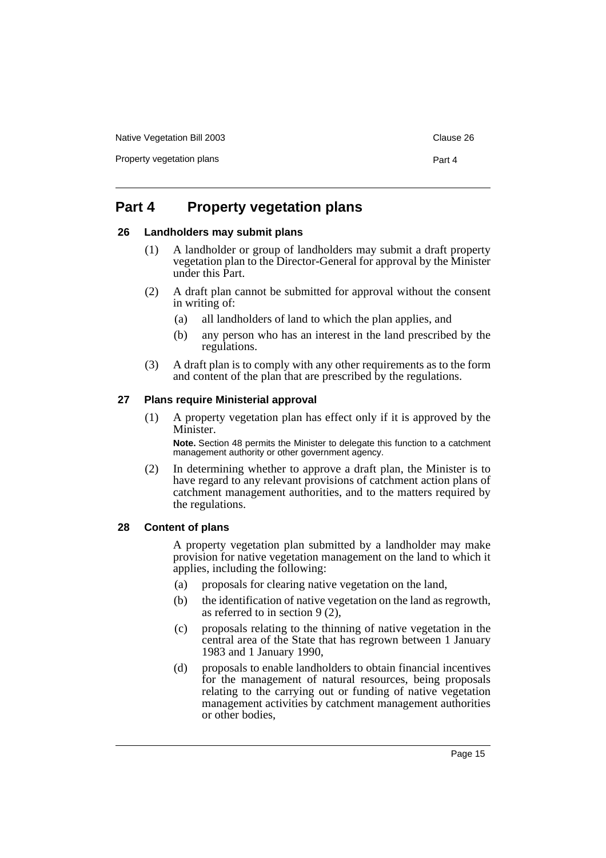Native Vegetation Bill 2003 **Clause 26** Clause 26

Property vegetation plans **Property** vegetation plans

### <span id="page-17-0"></span>**Part 4 Property vegetation plans**

### <span id="page-17-1"></span>**26 Landholders may submit plans**

- (1) A landholder or group of landholders may submit a draft property vegetation plan to the Director-General for approval by the Minister under this Part.
- (2) A draft plan cannot be submitted for approval without the consent in writing of:
	- (a) all landholders of land to which the plan applies, and
	- (b) any person who has an interest in the land prescribed by the regulations.
- (3) A draft plan is to comply with any other requirements as to the form and content of the plan that are prescribed by the regulations.

### <span id="page-17-2"></span>**27 Plans require Ministerial approval**

(1) A property vegetation plan has effect only if it is approved by the Minister.

**Note.** Section 48 permits the Minister to delegate this function to a catchment management authority or other government agency.

(2) In determining whether to approve a draft plan, the Minister is to have regard to any relevant provisions of catchment action plans of catchment management authorities, and to the matters required by the regulations.

### <span id="page-17-3"></span>**28 Content of plans**

A property vegetation plan submitted by a landholder may make provision for native vegetation management on the land to which it applies, including the following:

- (a) proposals for clearing native vegetation on the land,
- (b) the identification of native vegetation on the land as regrowth, as referred to in section 9 (2),
- (c) proposals relating to the thinning of native vegetation in the central area of the State that has regrown between 1 January 1983 and 1 January 1990,
- (d) proposals to enable landholders to obtain financial incentives for the management of natural resources, being proposals relating to the carrying out or funding of native vegetation management activities by catchment management authorities or other bodies,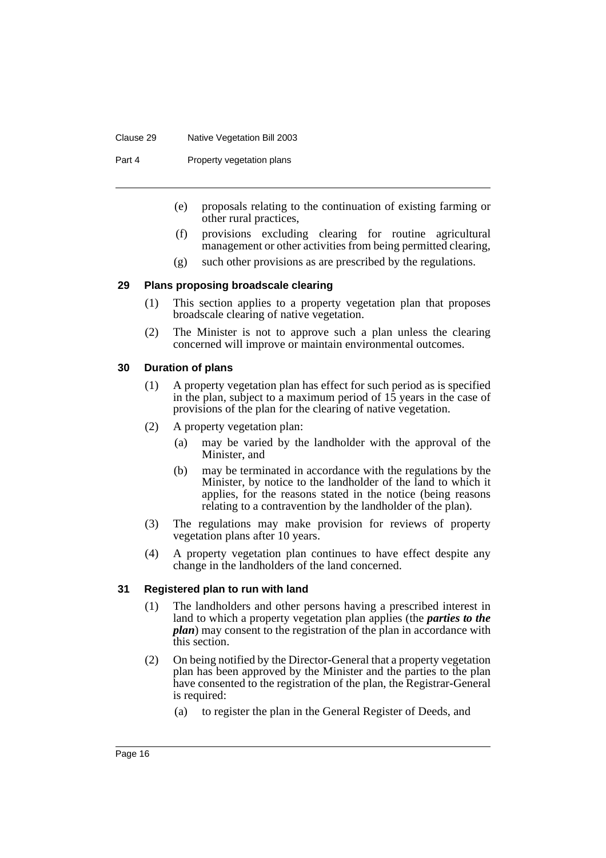#### Clause 29 Native Vegetation Bill 2003

Part 4 Property vegetation plans

- (e) proposals relating to the continuation of existing farming or other rural practices,
- (f) provisions excluding clearing for routine agricultural management or other activities from being permitted clearing,
- (g) such other provisions as are prescribed by the regulations.

### <span id="page-18-0"></span>**29 Plans proposing broadscale clearing**

- (1) This section applies to a property vegetation plan that proposes broadscale clearing of native vegetation.
- (2) The Minister is not to approve such a plan unless the clearing concerned will improve or maintain environmental outcomes.

### <span id="page-18-1"></span>**30 Duration of plans**

- (1) A property vegetation plan has effect for such period as is specified in the plan, subject to a maximum period of 15 years in the case of provisions of the plan for the clearing of native vegetation.
- (2) A property vegetation plan:
	- (a) may be varied by the landholder with the approval of the Minister, and
	- (b) may be terminated in accordance with the regulations by the Minister, by notice to the landholder of the land to which it applies, for the reasons stated in the notice (being reasons relating to a contravention by the landholder of the plan).
- (3) The regulations may make provision for reviews of property vegetation plans after 10 years.
- (4) A property vegetation plan continues to have effect despite any change in the landholders of the land concerned.

### <span id="page-18-2"></span>**31 Registered plan to run with land**

- (1) The landholders and other persons having a prescribed interest in land to which a property vegetation plan applies (the *parties to the plan*) may consent to the registration of the plan in accordance with this section.
- (2) On being notified by the Director-General that a property vegetation plan has been approved by the Minister and the parties to the plan have consented to the registration of the plan, the Registrar-General is required:
	- (a) to register the plan in the General Register of Deeds, and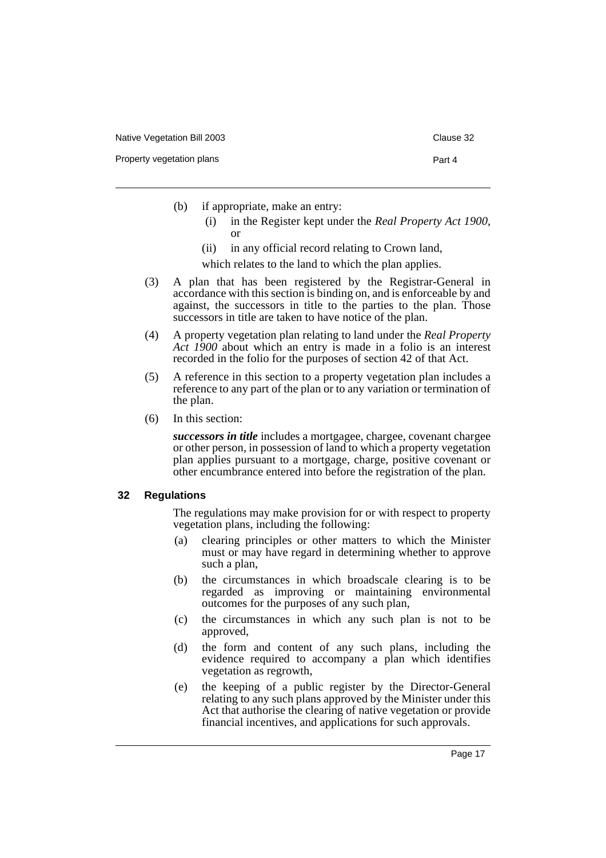- (b) if appropriate, make an entry:
	- (i) in the Register kept under the *Real Property Act 1900*, or
	- (ii) in any official record relating to Crown land,

which relates to the land to which the plan applies.

- (3) A plan that has been registered by the Registrar-General in accordance with this section is binding on, and is enforceable by and against, the successors in title to the parties to the plan. Those successors in title are taken to have notice of the plan.
- (4) A property vegetation plan relating to land under the *Real Property Act 1900* about which an entry is made in a folio is an interest recorded in the folio for the purposes of section 42 of that Act.
- (5) A reference in this section to a property vegetation plan includes a reference to any part of the plan or to any variation or termination of the plan.
- (6) In this section:

*successors in title* includes a mortgagee, chargee, covenant chargee or other person, in possession of land to which a property vegetation plan applies pursuant to a mortgage, charge, positive covenant or other encumbrance entered into before the registration of the plan.

#### <span id="page-19-0"></span>**32 Regulations**

The regulations may make provision for or with respect to property vegetation plans, including the following:

- (a) clearing principles or other matters to which the Minister must or may have regard in determining whether to approve such a plan,
- (b) the circumstances in which broadscale clearing is to be regarded as improving or maintaining environmental outcomes for the purposes of any such plan,
- (c) the circumstances in which any such plan is not to be approved,
- (d) the form and content of any such plans, including the evidence required to accompany a plan which identifies vegetation as regrowth,
- (e) the keeping of a public register by the Director-General relating to any such plans approved by the Minister under this Act that authorise the clearing of native vegetation or provide financial incentives, and applications for such approvals.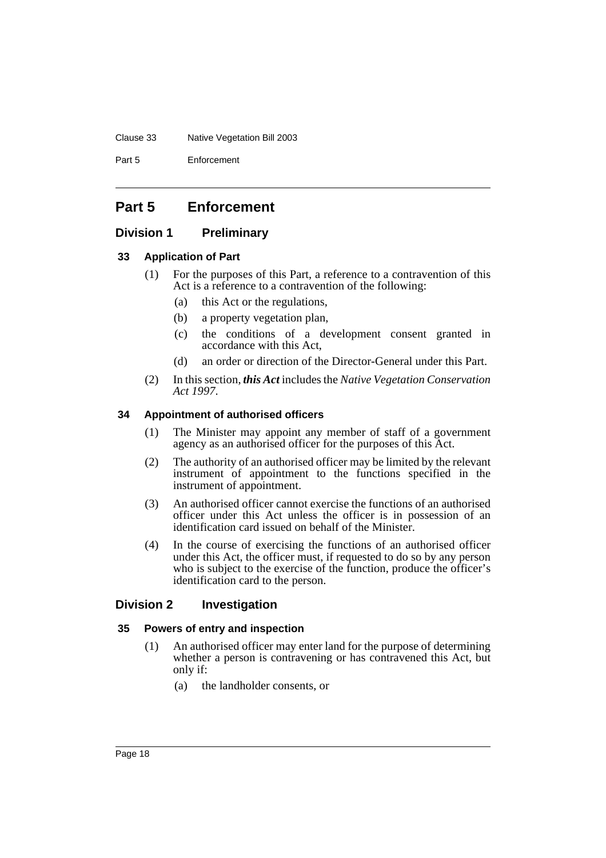#### Clause 33 Native Vegetation Bill 2003

Part 5 Enforcement

### <span id="page-20-0"></span>**Part 5 Enforcement**

### <span id="page-20-1"></span>**Division 1 Preliminary**

### <span id="page-20-2"></span>**33 Application of Part**

- (1) For the purposes of this Part, a reference to a contravention of this Act is a reference to a contravention of the following:
	- (a) this Act or the regulations,
	- (b) a property vegetation plan,
	- (c) the conditions of a development consent granted in accordance with this Act,
	- (d) an order or direction of the Director-General under this Part.
- (2) In this section, *this Act* includes the *Native Vegetation Conservation Act 1997*.

### <span id="page-20-3"></span>**34 Appointment of authorised officers**

- (1) The Minister may appoint any member of staff of a government agency as an authorised officer for the purposes of this Act.
- (2) The authority of an authorised officer may be limited by the relevant instrument of appointment to the functions specified in the instrument of appointment.
- (3) An authorised officer cannot exercise the functions of an authorised officer under this Act unless the officer is in possession of an identification card issued on behalf of the Minister.
- (4) In the course of exercising the functions of an authorised officer under this Act, the officer must, if requested to do so by any person who is subject to the exercise of the function, produce the officer's identification card to the person.

### <span id="page-20-4"></span>**Division 2 Investigation**

### <span id="page-20-5"></span>**35 Powers of entry and inspection**

- (1) An authorised officer may enter land for the purpose of determining whether a person is contravening or has contravened this Act, but only if:
	- (a) the landholder consents, or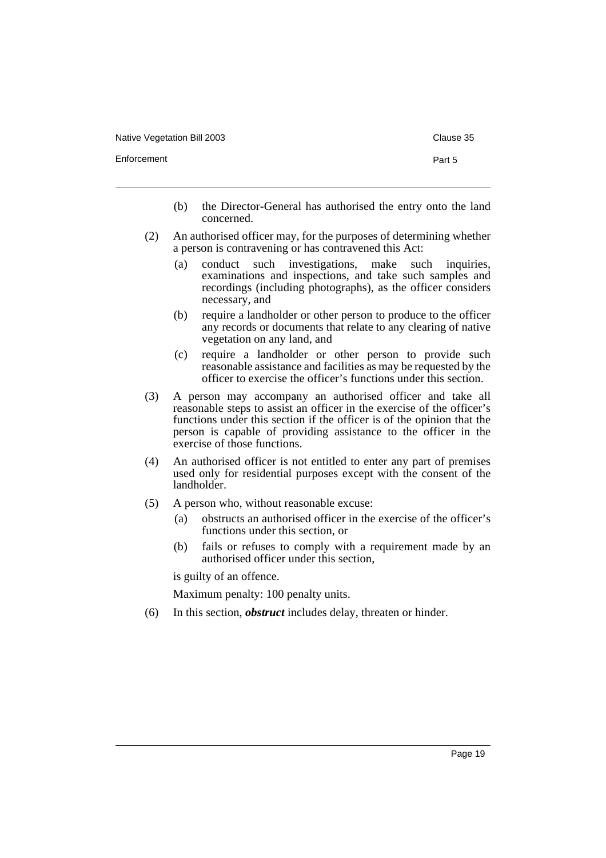Native Vegetation Bill 2003 Clause 35

Enforcement Part 5

- 
- (b) the Director-General has authorised the entry onto the land concerned.
- (2) An authorised officer may, for the purposes of determining whether a person is contravening or has contravened this Act:
	- (a) conduct such investigations, make such inquiries, examinations and inspections, and take such samples and recordings (including photographs), as the officer considers necessary, and
	- (b) require a landholder or other person to produce to the officer any records or documents that relate to any clearing of native vegetation on any land, and
	- (c) require a landholder or other person to provide such reasonable assistance and facilities as may be requested by the officer to exercise the officer's functions under this section.
- (3) A person may accompany an authorised officer and take all reasonable steps to assist an officer in the exercise of the officer's functions under this section if the officer is of the opinion that the person is capable of providing assistance to the officer in the exercise of those functions.
- (4) An authorised officer is not entitled to enter any part of premises used only for residential purposes except with the consent of the landholder.
- (5) A person who, without reasonable excuse:
	- (a) obstructs an authorised officer in the exercise of the officer's functions under this section, or
	- (b) fails or refuses to comply with a requirement made by an authorised officer under this section,

is guilty of an offence.

Maximum penalty: 100 penalty units.

(6) In this section, *obstruct* includes delay, threaten or hinder.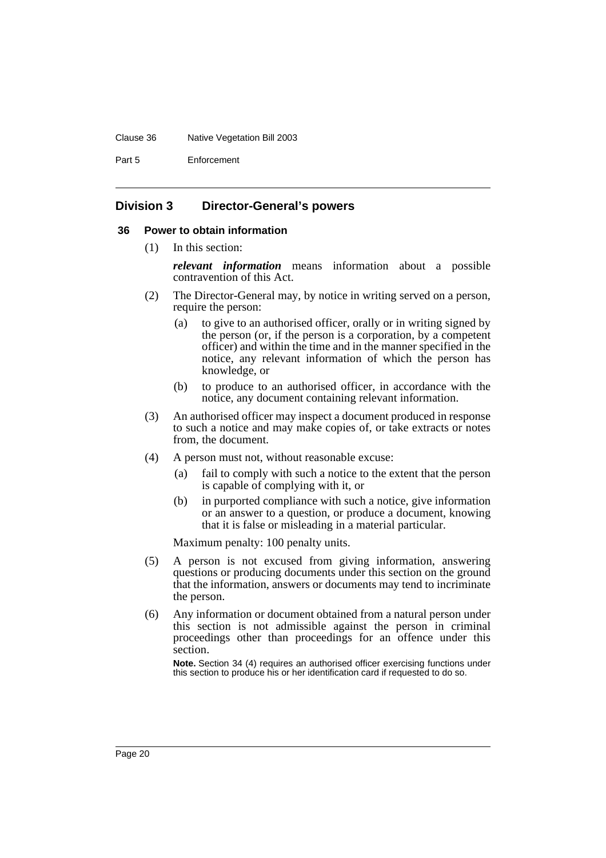#### Clause 36 Native Vegetation Bill 2003

Part 5 Enforcement

### <span id="page-22-0"></span>**Division 3 Director-General's powers**

#### <span id="page-22-1"></span>**36 Power to obtain information**

(1) In this section:

*relevant information* means information about a possible contravention of this Act.

- (2) The Director-General may, by notice in writing served on a person, require the person:
	- (a) to give to an authorised officer, orally or in writing signed by the person (or, if the person is a corporation, by a competent officer) and within the time and in the manner specified in the notice, any relevant information of which the person has knowledge, or
	- (b) to produce to an authorised officer, in accordance with the notice, any document containing relevant information.
- (3) An authorised officer may inspect a document produced in response to such a notice and may make copies of, or take extracts or notes from, the document.
- (4) A person must not, without reasonable excuse:
	- (a) fail to comply with such a notice to the extent that the person is capable of complying with it, or
	- (b) in purported compliance with such a notice, give information or an answer to a question, or produce a document, knowing that it is false or misleading in a material particular.

Maximum penalty: 100 penalty units.

- (5) A person is not excused from giving information, answering questions or producing documents under this section on the ground that the information, answers or documents may tend to incriminate the person.
- (6) Any information or document obtained from a natural person under this section is not admissible against the person in criminal proceedings other than proceedings for an offence under this section.

**Note.** Section 34 (4) requires an authorised officer exercising functions under this section to produce his or her identification card if requested to do so.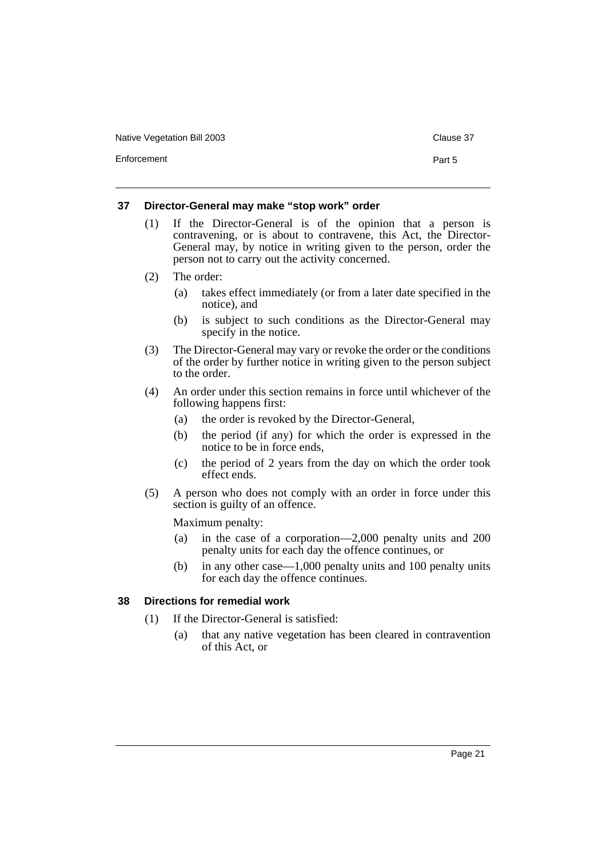Native Vegetation Bill 2003 Clause 37

Enforcement **Part 5** 

### <span id="page-23-0"></span>**37 Director-General may make "stop work" order**

- (1) If the Director-General is of the opinion that a person is contravening, or is about to contravene, this Act, the Director-General may, by notice in writing given to the person, order the person not to carry out the activity concerned.
- (2) The order:
	- (a) takes effect immediately (or from a later date specified in the notice), and
	- (b) is subject to such conditions as the Director-General may specify in the notice.
- (3) The Director-General may vary or revoke the order or the conditions of the order by further notice in writing given to the person subject to the order.
- (4) An order under this section remains in force until whichever of the following happens first:
	- (a) the order is revoked by the Director-General,
	- (b) the period (if any) for which the order is expressed in the notice to be in force ends,
	- (c) the period of 2 years from the day on which the order took effect ends.
- (5) A person who does not comply with an order in force under this section is guilty of an offence.

Maximum penalty:

- (a) in the case of a corporation—2,000 penalty units and 200 penalty units for each day the offence continues, or
- (b) in any other case—1,000 penalty units and 100 penalty units for each day the offence continues.

### <span id="page-23-1"></span>**38 Directions for remedial work**

- (1) If the Director-General is satisfied:
	- (a) that any native vegetation has been cleared in contravention of this Act, or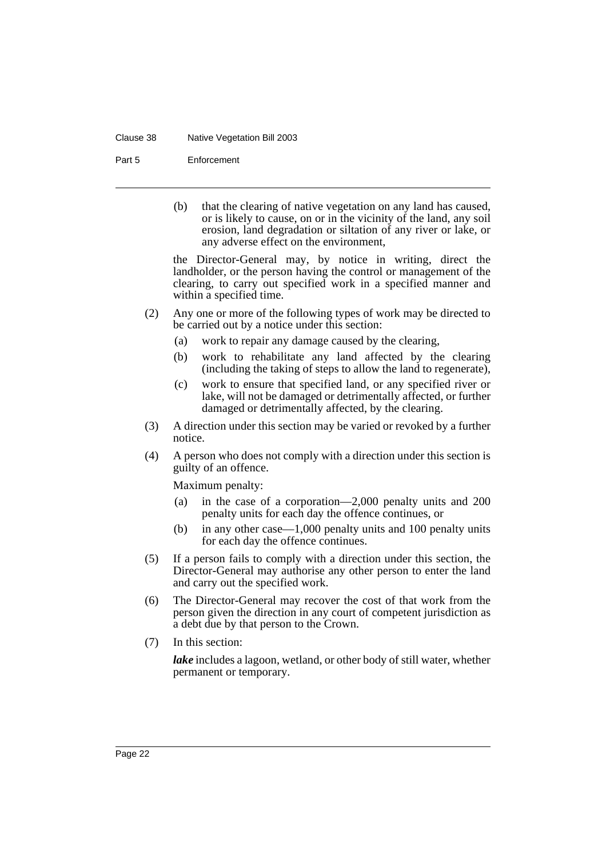#### Clause 38 Native Vegetation Bill 2003

Part 5 Enforcement

(b) that the clearing of native vegetation on any land has caused, or is likely to cause, on or in the vicinity of the land, any soil erosion, land degradation or siltation of any river or lake, or any adverse effect on the environment,

the Director-General may, by notice in writing, direct the landholder, or the person having the control or management of the clearing, to carry out specified work in a specified manner and within a specified time.

- (2) Any one or more of the following types of work may be directed to be carried out by a notice under this section:
	- (a) work to repair any damage caused by the clearing,
	- (b) work to rehabilitate any land affected by the clearing (including the taking of steps to allow the land to regenerate),
	- (c) work to ensure that specified land, or any specified river or lake, will not be damaged or detrimentally affected, or further damaged or detrimentally affected, by the clearing.
- (3) A direction under this section may be varied or revoked by a further notice.
- (4) A person who does not comply with a direction under this section is guilty of an offence.

Maximum penalty:

- (a) in the case of a corporation—2,000 penalty units and 200 penalty units for each day the offence continues, or
- (b) in any other case—1,000 penalty units and 100 penalty units for each day the offence continues.
- (5) If a person fails to comply with a direction under this section, the Director-General may authorise any other person to enter the land and carry out the specified work.
- (6) The Director-General may recover the cost of that work from the person given the direction in any court of competent jurisdiction as a debt due by that person to the Crown.
- (7) In this section:

*lake* includes a lagoon, wetland, or other body of still water, whether permanent or temporary.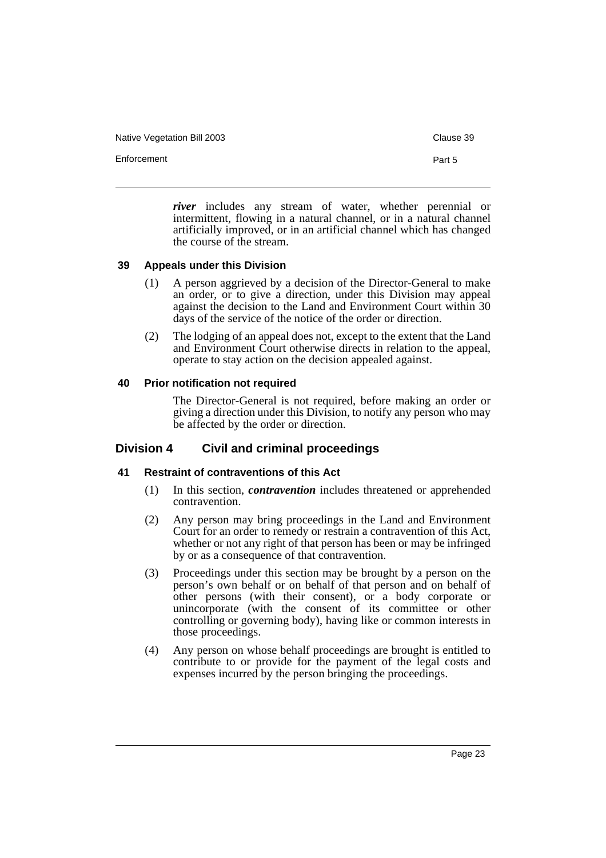Native Vegetation Bill 2003 **Clause 39** Clause 39

Enforcement Part 5

*river* includes any stream of water, whether perennial or intermittent, flowing in a natural channel, or in a natural channel artificially improved, or in an artificial channel which has changed the course of the stream.

### <span id="page-25-0"></span>**39 Appeals under this Division**

- (1) A person aggrieved by a decision of the Director-General to make an order, or to give a direction, under this Division may appeal against the decision to the Land and Environment Court within 30 days of the service of the notice of the order or direction.
- (2) The lodging of an appeal does not, except to the extent that the Land and Environment Court otherwise directs in relation to the appeal, operate to stay action on the decision appealed against.

### <span id="page-25-1"></span>**40 Prior notification not required**

The Director-General is not required, before making an order or giving a direction under this Division, to notify any person who may be affected by the order or direction.

### <span id="page-25-2"></span>**Division 4 Civil and criminal proceedings**

### <span id="page-25-3"></span>**41 Restraint of contraventions of this Act**

- (1) In this section, *contravention* includes threatened or apprehended contravention.
- (2) Any person may bring proceedings in the Land and Environment Court for an order to remedy or restrain a contravention of this Act, whether or not any right of that person has been or may be infringed by or as a consequence of that contravention.
- (3) Proceedings under this section may be brought by a person on the person's own behalf or on behalf of that person and on behalf of other persons (with their consent), or a body corporate or unincorporate (with the consent of its committee or other controlling or governing body), having like or common interests in those proceedings.
- (4) Any person on whose behalf proceedings are brought is entitled to contribute to or provide for the payment of the legal costs and expenses incurred by the person bringing the proceedings.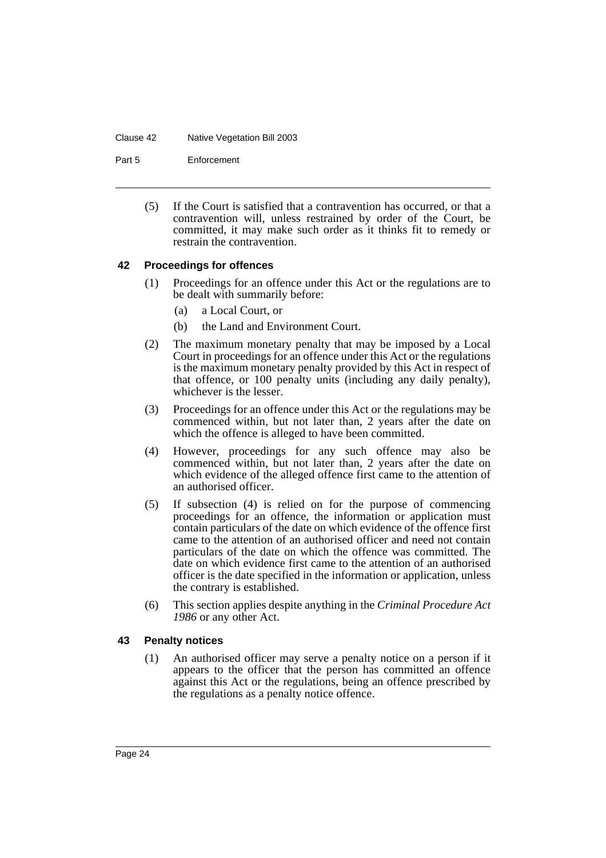#### Clause 42 Native Vegetation Bill 2003

Part 5 Enforcement

(5) If the Court is satisfied that a contravention has occurred, or that a contravention will, unless restrained by order of the Court, be committed, it may make such order as it thinks fit to remedy or restrain the contravention.

### <span id="page-26-0"></span>**42 Proceedings for offences**

- (1) Proceedings for an offence under this Act or the regulations are to be dealt with summarily before:
	- (a) a Local Court, or
	- (b) the Land and Environment Court.
- (2) The maximum monetary penalty that may be imposed by a Local Court in proceedings for an offence under this Act or the regulations is the maximum monetary penalty provided by this Act in respect of that offence, or 100 penalty units (including any daily penalty), whichever is the lesser.
- (3) Proceedings for an offence under this Act or the regulations may be commenced within, but not later than, 2 years after the date on which the offence is alleged to have been committed.
- (4) However, proceedings for any such offence may also be commenced within, but not later than, 2 years after the date on which evidence of the alleged offence first came to the attention of an authorised officer.
- (5) If subsection (4) is relied on for the purpose of commencing proceedings for an offence, the information or application must contain particulars of the date on which evidence of the offence first came to the attention of an authorised officer and need not contain particulars of the date on which the offence was committed. The date on which evidence first came to the attention of an authorised officer is the date specified in the information or application, unless the contrary is established.
- (6) This section applies despite anything in the *Criminal Procedure Act 1986* or any other Act.

### <span id="page-26-1"></span>**43 Penalty notices**

(1) An authorised officer may serve a penalty notice on a person if it appears to the officer that the person has committed an offence against this Act or the regulations, being an offence prescribed by the regulations as a penalty notice offence.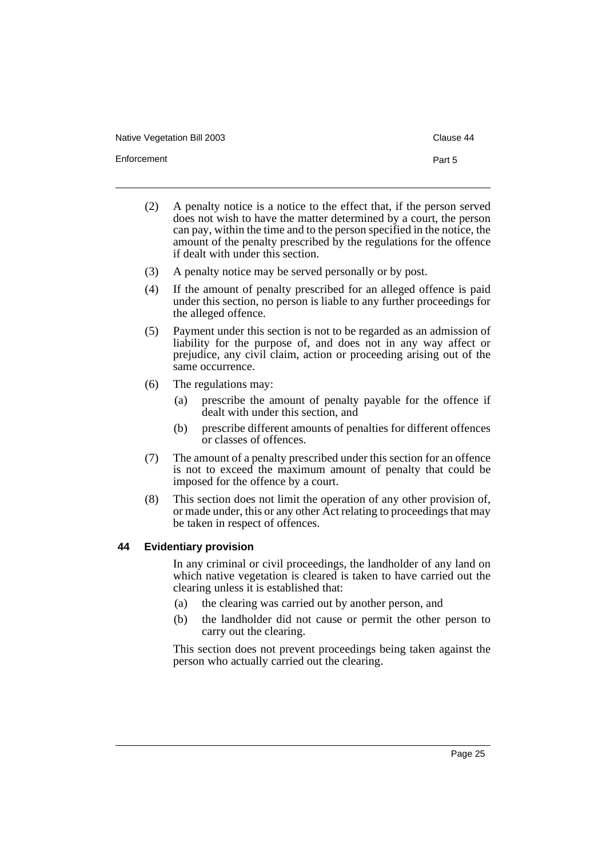Native Vegetation Bill 2003 **Clause 44** Clause 44

Enforcement **Part 5** 

- (2) A penalty notice is a notice to the effect that, if the person served does not wish to have the matter determined by a court, the person can pay, within the time and to the person specified in the notice, the amount of the penalty prescribed by the regulations for the offence if dealt with under this section.
- (3) A penalty notice may be served personally or by post.
- (4) If the amount of penalty prescribed for an alleged offence is paid under this section, no person is liable to any further proceedings for the alleged offence.
- (5) Payment under this section is not to be regarded as an admission of liability for the purpose of, and does not in any way affect or prejudice, any civil claim, action or proceeding arising out of the same occurrence.
- (6) The regulations may:
	- (a) prescribe the amount of penalty payable for the offence if dealt with under this section, and
	- (b) prescribe different amounts of penalties for different offences or classes of offences.
- (7) The amount of a penalty prescribed under this section for an offence is not to exceed the maximum amount of penalty that could be imposed for the offence by a court.
- (8) This section does not limit the operation of any other provision of, or made under, this or any other Act relating to proceedings that may be taken in respect of offences.

### <span id="page-27-0"></span>**44 Evidentiary provision**

In any criminal or civil proceedings, the landholder of any land on which native vegetation is cleared is taken to have carried out the clearing unless it is established that:

- (a) the clearing was carried out by another person, and
- (b) the landholder did not cause or permit the other person to carry out the clearing.

This section does not prevent proceedings being taken against the person who actually carried out the clearing.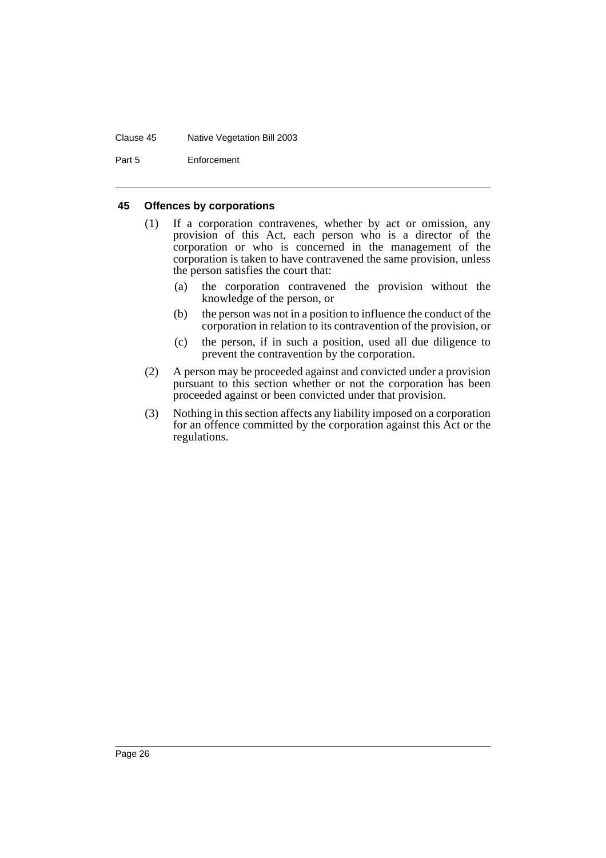#### Clause 45 Native Vegetation Bill 2003

Part 5 Enforcement

### <span id="page-28-0"></span>**45 Offences by corporations**

- (1) If a corporation contravenes, whether by act or omission, any provision of this Act, each person who is a director of the corporation or who is concerned in the management of the corporation is taken to have contravened the same provision, unless the person satisfies the court that:
	- (a) the corporation contravened the provision without the knowledge of the person, or
	- (b) the person was not in a position to influence the conduct of the corporation in relation to its contravention of the provision, or
	- (c) the person, if in such a position, used all due diligence to prevent the contravention by the corporation.
- (2) A person may be proceeded against and convicted under a provision pursuant to this section whether or not the corporation has been proceeded against or been convicted under that provision.
- (3) Nothing in this section affects any liability imposed on a corporation for an offence committed by the corporation against this Act or the regulations.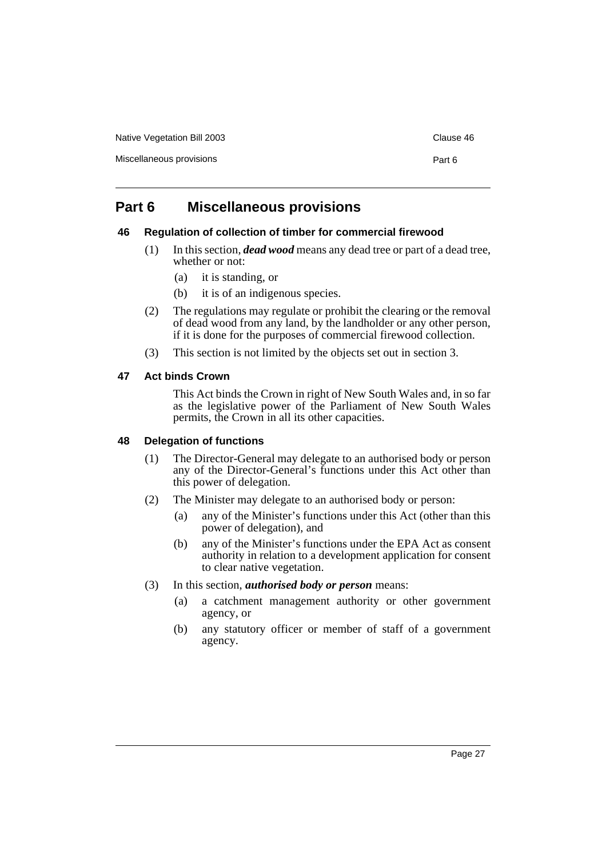Native Vegetation Bill 2003 **Clause 46** Clause 46

Miscellaneous provisions **Part 6** 

## <span id="page-29-0"></span>**Part 6 Miscellaneous provisions**

### <span id="page-29-1"></span>**46 Regulation of collection of timber for commercial firewood**

- (1) In this section, *dead wood* means any dead tree or part of a dead tree, whether or not:
	- (a) it is standing, or
	- (b) it is of an indigenous species.
- (2) The regulations may regulate or prohibit the clearing or the removal of dead wood from any land, by the landholder or any other person, if it is done for the purposes of commercial firewood collection.
- (3) This section is not limited by the objects set out in section 3.

### <span id="page-29-2"></span>**47 Act binds Crown**

This Act binds the Crown in right of New South Wales and, in so far as the legislative power of the Parliament of New South Wales permits, the Crown in all its other capacities.

### <span id="page-29-3"></span>**48 Delegation of functions**

- (1) The Director-General may delegate to an authorised body or person any of the Director-General's functions under this Act other than this power of delegation.
- (2) The Minister may delegate to an authorised body or person:
	- (a) any of the Minister's functions under this Act (other than this power of delegation), and
	- (b) any of the Minister's functions under the EPA Act as consent authority in relation to a development application for consent to clear native vegetation.
- (3) In this section, *authorised body or person* means:
	- (a) a catchment management authority or other government agency, or
	- (b) any statutory officer or member of staff of a government agency.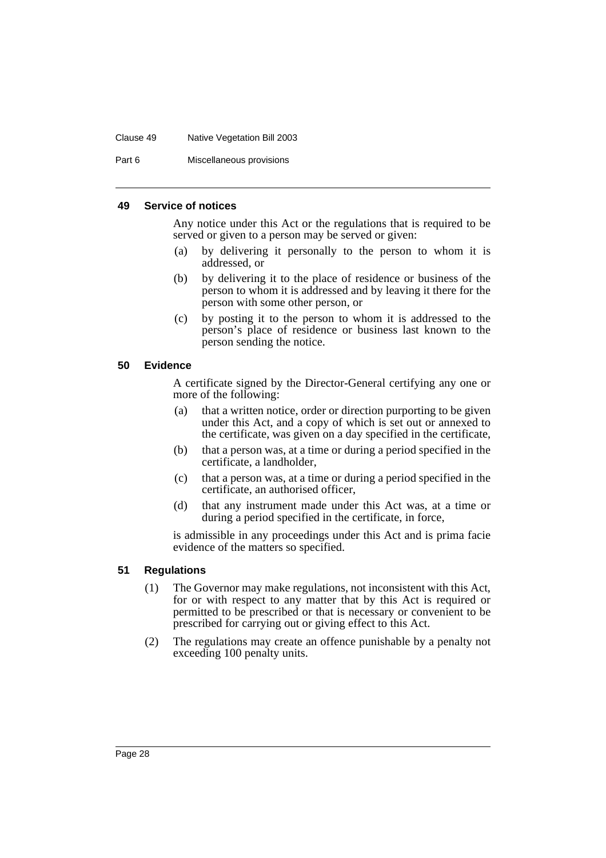#### Clause 49 Native Vegetation Bill 2003

Part 6 Miscellaneous provisions

#### <span id="page-30-0"></span>**49 Service of notices**

Any notice under this Act or the regulations that is required to be served or given to a person may be served or given:

- (a) by delivering it personally to the person to whom it is addressed, or
- (b) by delivering it to the place of residence or business of the person to whom it is addressed and by leaving it there for the person with some other person, or
- (c) by posting it to the person to whom it is addressed to the person's place of residence or business last known to the person sending the notice.

### <span id="page-30-1"></span>**50 Evidence**

A certificate signed by the Director-General certifying any one or more of the following:

- (a) that a written notice, order or direction purporting to be given under this Act, and a copy of which is set out or annexed to the certificate, was given on a day specified in the certificate,
- (b) that a person was, at a time or during a period specified in the certificate, a landholder,
- (c) that a person was, at a time or during a period specified in the certificate, an authorised officer,
- (d) that any instrument made under this Act was, at a time or during a period specified in the certificate, in force,

is admissible in any proceedings under this Act and is prima facie evidence of the matters so specified.

### <span id="page-30-2"></span>**51 Regulations**

- (1) The Governor may make regulations, not inconsistent with this Act, for or with respect to any matter that by this Act is required or permitted to be prescribed or that is necessary or convenient to be prescribed for carrying out or giving effect to this Act.
- (2) The regulations may create an offence punishable by a penalty not exceeding 100 penalty units.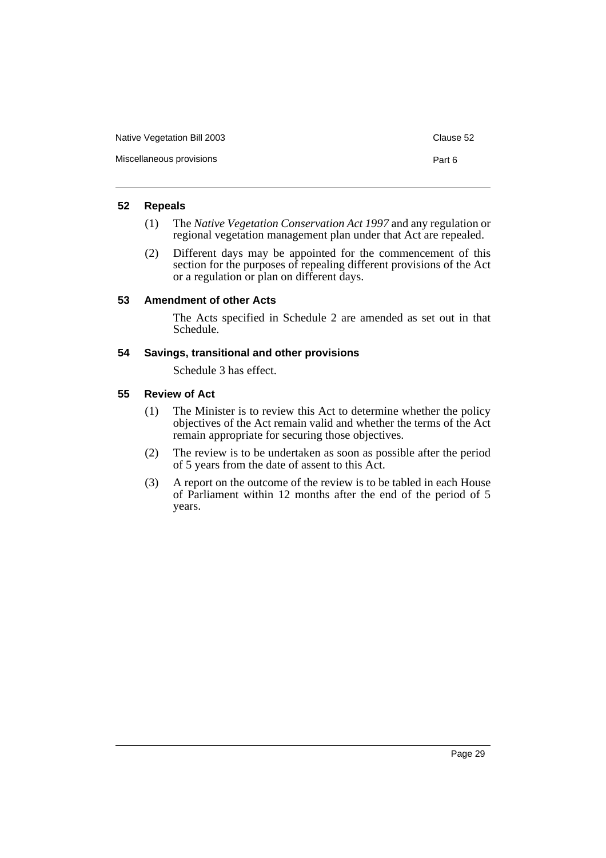| Native Vegetation Bill 2003 | Clause 52 |
|-----------------------------|-----------|
| Miscellaneous provisions    | Part 6    |

### <span id="page-31-0"></span>**52 Repeals**

- (1) The *Native Vegetation Conservation Act 1997* and any regulation or regional vegetation management plan under that Act are repealed.
- (2) Different days may be appointed for the commencement of this section for the purposes of repealing different provisions of the Act or a regulation or plan on different days.

### <span id="page-31-1"></span>**53 Amendment of other Acts**

The Acts specified in Schedule 2 are amended as set out in that Schedule.

### <span id="page-31-2"></span>**54 Savings, transitional and other provisions**

Schedule 3 has effect.

### <span id="page-31-3"></span>**55 Review of Act**

- (1) The Minister is to review this Act to determine whether the policy objectives of the Act remain valid and whether the terms of the Act remain appropriate for securing those objectives.
- (2) The review is to be undertaken as soon as possible after the period of 5 years from the date of assent to this Act.
- (3) A report on the outcome of the review is to be tabled in each House of Parliament within 12 months after the end of the period of 5 years.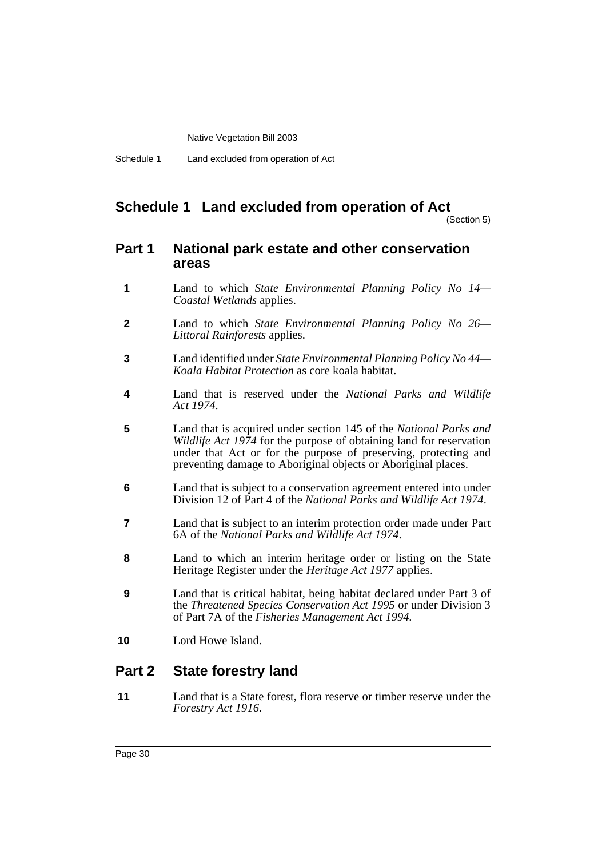Schedule 1 Land excluded from operation of Act

### <span id="page-32-0"></span>**Schedule 1 Land excluded from operation of Act**

(Section 5)

### **Part 1 National park estate and other conservation areas**

- **1** Land to which *State Environmental Planning Policy No 14— Coastal Wetlands* applies.
- **2** Land to which *State Environmental Planning Policy No 26— Littoral Rainforests* applies.
- **3** Land identified under *State Environmental Planning Policy No 44— Koala Habitat Protection* as core koala habitat.
- **4** Land that is reserved under the *National Parks and Wildlife Act 1974*.
- **5** Land that is acquired under section 145 of the *National Parks and Wildlife Act 1974* for the purpose of obtaining land for reservation under that Act or for the purpose of preserving, protecting and preventing damage to Aboriginal objects or Aboriginal places.
- **6** Land that is subject to a conservation agreement entered into under Division 12 of Part 4 of the *National Parks and Wildlife Act 1974*.
- **7** Land that is subject to an interim protection order made under Part 6A of the *National Parks and Wildlife Act 1974*.
- **8** Land to which an interim heritage order or listing on the State Heritage Register under the *Heritage Act 1977* applies.
- **9** Land that is critical habitat, being habitat declared under Part 3 of the *Threatened Species Conservation Act 1995* or under Division 3 of Part 7A of the *Fisheries Management Act 1994.*
- **10** Lord Howe Island.

### **Part 2 State forestry land**

**11** Land that is a State forest, flora reserve or timber reserve under the *Forestry Act 1916*.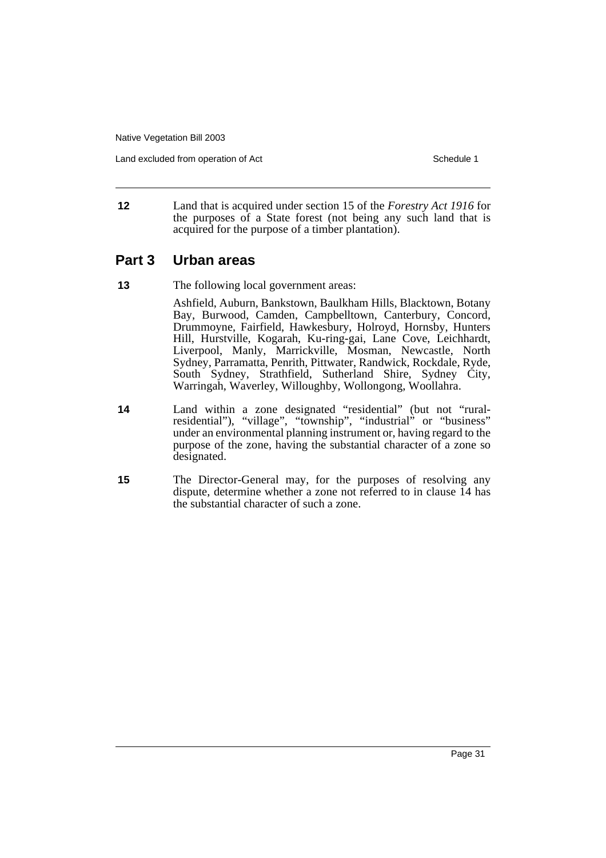Land excluded from operation of Act Schedule 1

**12** Land that is acquired under section 15 of the *Forestry Act 1916* for the purposes of a State forest (not being any such land that is acquired for the purpose of a timber plantation).

### **Part 3 Urban areas**

**13** The following local government areas:

Ashfield, Auburn, Bankstown, Baulkham Hills, Blacktown, Botany Bay, Burwood, Camden, Campbelltown, Canterbury, Concord, Drummoyne, Fairfield, Hawkesbury, Holroyd, Hornsby, Hunters Hill, Hurstville, Kogarah, Ku-ring-gai, Lane Cove, Leichhardt, Liverpool, Manly, Marrickville, Mosman, Newcastle, North Sydney, Parramatta, Penrith, Pittwater, Randwick, Rockdale, Ryde, South Sydney, Strathfield, Sutherland Shire, Sydney City, Warringah, Waverley, Willoughby, Wollongong, Woollahra.

- **14** Land within a zone designated "residential" (but not "ruralresidential"), "village", "township", "industrial" or "business" under an environmental planning instrument or, having regard to the purpose of the zone, having the substantial character of a zone so designated.
- **15** The Director-General may, for the purposes of resolving any dispute, determine whether a zone not referred to in clause 14 has the substantial character of such a zone.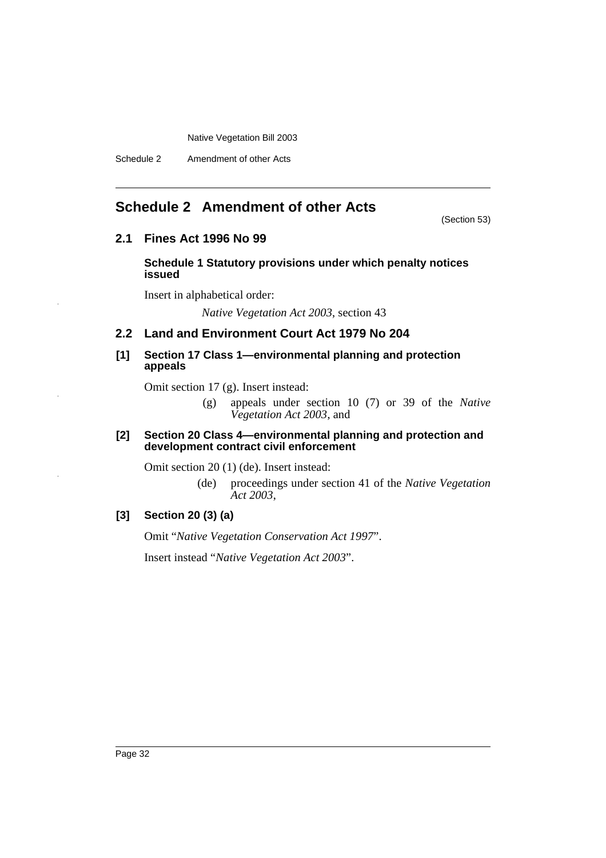Schedule 2 Amendment of other Acts

### <span id="page-34-0"></span>**Schedule 2 Amendment of other Acts**

(Section 53)

### **2.1 Fines Act 1996 No 99**

**Schedule 1 Statutory provisions under which penalty notices issued**

Insert in alphabetical order:

*Native Vegetation Act 2003*, section 43

### **2.2 Land and Environment Court Act 1979 No 204**

### **[1] Section 17 Class 1—environmental planning and protection appeals**

Omit section 17 (g). Insert instead:

(g) appeals under section 10 (7) or 39 of the *Native Vegetation Act 2003*, and

### **[2] Section 20 Class 4—environmental planning and protection and development contract civil enforcement**

Omit section 20 (1) (de). Insert instead:

(de) proceedings under section 41 of the *Native Vegetation Act 2003*,

### **[3] Section 20 (3) (a)**

Omit "*Native Vegetation Conservation Act 1997*".

Insert instead "*Native Vegetation Act 2003*".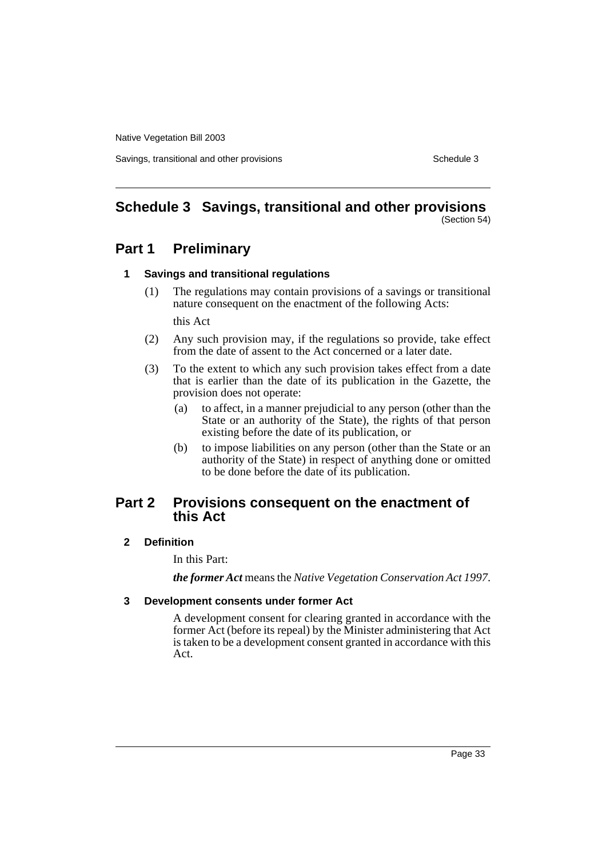Savings, transitional and other provisions Schedule 3 Schedule 3

#### <span id="page-35-0"></span>**Schedule 3 Savings, transitional and other provisions** (Section 54)

### **Part 1 Preliminary**

### **1 Savings and transitional regulations**

(1) The regulations may contain provisions of a savings or transitional nature consequent on the enactment of the following Acts:

this Act

- (2) Any such provision may, if the regulations so provide, take effect from the date of assent to the Act concerned or a later date.
- (3) To the extent to which any such provision takes effect from a date that is earlier than the date of its publication in the Gazette, the provision does not operate:
	- (a) to affect, in a manner prejudicial to any person (other than the State or an authority of the State), the rights of that person existing before the date of its publication, or
	- (b) to impose liabilities on any person (other than the State or an authority of the State) in respect of anything done or omitted to be done before the date of its publication.

### **Part 2 Provisions consequent on the enactment of this Act**

### **2 Definition**

In this Part:

*the former Act* means the *Native Vegetation Conservation Act 1997*.

### **3 Development consents under former Act**

A development consent for clearing granted in accordance with the former Act (before its repeal) by the Minister administering that Act is taken to be a development consent granted in accordance with this Act.